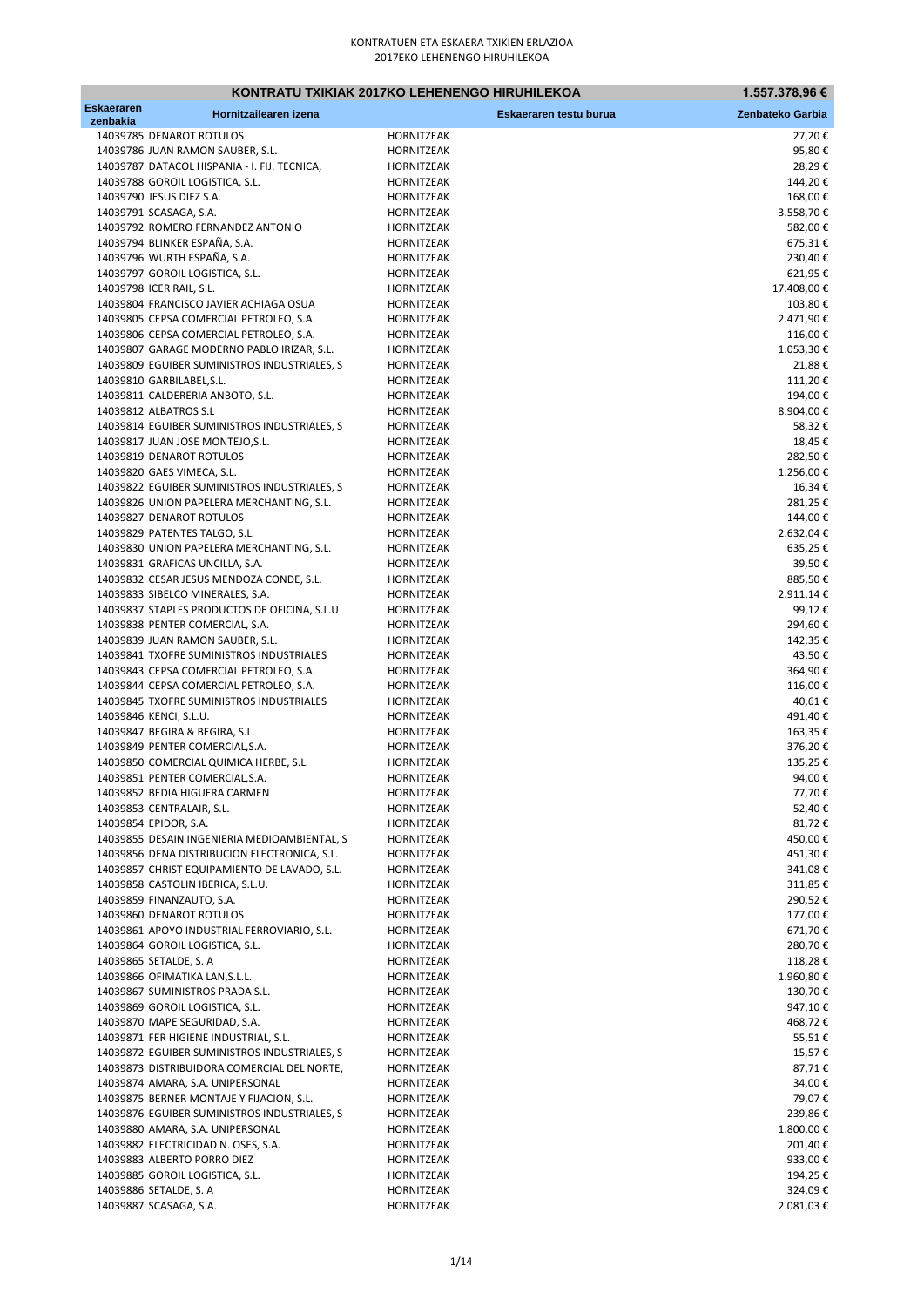|                               | KONTRATU TXIKIAK 2017KO LEHENENGO HIRUHILEKOA                                                |                          |                        | 1.557.378,96 €        |
|-------------------------------|----------------------------------------------------------------------------------------------|--------------------------|------------------------|-----------------------|
| <b>Eskaeraren</b><br>zenbakia | Hornitzailearen izena                                                                        |                          | Eskaeraren testu burua | Zenbateko Garbia      |
|                               | 14039785 DENAROT ROTULOS                                                                     | HORNITZEAK               |                        | 27,20€                |
|                               | 14039786 JUAN RAMON SAUBER, S.L.                                                             | HORNITZEAK               |                        | 95,80€                |
|                               | 14039787 DATACOL HISPANIA - I. FIJ. TECNICA,                                                 | HORNITZEAK               |                        | 28,29€                |
|                               | 14039788 GOROIL LOGISTICA, S.L.                                                              | <b>HORNITZEAK</b>        |                        | 144,20€               |
|                               | 14039790 JESUS DIEZ S.A.<br>14039791 SCASAGA, S.A.                                           | HORNITZEAK<br>HORNITZEAK |                        | 168,00€<br>3.558,70€  |
|                               | 14039792 ROMERO FERNANDEZ ANTONIO                                                            | HORNITZEAK               |                        | 582,00€               |
|                               | 14039794 BLINKER ESPAÑA, S.A.                                                                | HORNITZEAK               |                        | 675,31€               |
|                               | 14039796 WURTH ESPAÑA, S.A.                                                                  | HORNITZEAK               |                        | 230,40€               |
|                               | 14039797 GOROIL LOGISTICA, S.L.                                                              | HORNITZEAK               |                        | 621,95€               |
|                               | 14039798 ICER RAIL, S.L.                                                                     | HORNITZEAK               |                        | 17.408,00€            |
|                               | 14039804 FRANCISCO JAVIER ACHIAGA OSUA<br>14039805 CEPSA COMERCIAL PETROLEO, S.A.            | HORNITZEAK<br>HORNITZEAK |                        | 103,80€<br>2.471,90€  |
|                               | 14039806 CEPSA COMERCIAL PETROLEO, S.A.                                                      | HORNITZEAK               |                        | 116,00€               |
|                               | 14039807 GARAGE MODERNO PABLO IRIZAR, S.L.                                                   | HORNITZEAK               |                        | 1.053,30€             |
|                               | 14039809 EGUIBER SUMINISTROS INDUSTRIALES, S                                                 | <b>HORNITZEAK</b>        |                        | 21,88€                |
|                               | 14039810 GARBILABEL, S.L.                                                                    | HORNITZEAK               |                        | 111,20€               |
|                               | 14039811 CALDERERIA ANBOTO, S.L.                                                             | HORNITZEAK               |                        | 194,00€               |
|                               | 14039812 ALBATROS S.L<br>14039814 EGUIBER SUMINISTROS INDUSTRIALES, S                        | HORNITZEAK<br>HORNITZEAK |                        | 8.904,00€<br>58,32€   |
|                               | 14039817 JUAN JOSE MONTEJO, S.L.                                                             | HORNITZEAK               |                        | 18,45€                |
|                               | 14039819 DENAROT ROTULOS                                                                     | HORNITZEAK               |                        | 282,50€               |
|                               | 14039820 GAES VIMECA, S.L.                                                                   | HORNITZEAK               |                        | 1.256,00€             |
|                               | 14039822 EGUIBER SUMINISTROS INDUSTRIALES, S                                                 | HORNITZEAK               |                        | 16,34€                |
|                               | 14039826 UNION PAPELERA MERCHANTING, S.L.                                                    | HORNITZEAK               |                        | 281,25€               |
|                               | 14039827 DENAROT ROTULOS<br>14039829 PATENTES TALGO, S.L.                                    | HORNITZEAK               |                        | 144,00€               |
|                               | 14039830 UNION PAPELERA MERCHANTING, S.L.                                                    | HORNITZEAK<br>HORNITZEAK |                        | 2.632,04€<br>635,25€  |
|                               | 14039831 GRAFICAS UNCILLA, S.A.                                                              | HORNITZEAK               |                        | 39,50€                |
|                               | 14039832 CESAR JESUS MENDOZA CONDE, S.L.                                                     | HORNITZEAK               |                        | 885,50€               |
|                               | 14039833 SIBELCO MINERALES, S.A.                                                             | HORNITZEAK               |                        | 2.911,14€             |
|                               | 14039837 STAPLES PRODUCTOS DE OFICINA, S.L.U                                                 | HORNITZEAK               |                        | 99,12€                |
|                               | 14039838 PENTER COMERCIAL, S.A.                                                              | HORNITZEAK               |                        | 294,60€               |
|                               | 14039839 JUAN RAMON SAUBER, S.L.<br>14039841 TXOFRE SUMINISTROS INDUSTRIALES                 | HORNITZEAK<br>HORNITZEAK |                        | 142,35€<br>43,50€     |
|                               | 14039843 CEPSA COMERCIAL PETROLEO, S.A.                                                      | HORNITZEAK               |                        | 364,90€               |
|                               | 14039844 CEPSA COMERCIAL PETROLEO, S.A.                                                      | HORNITZEAK               |                        | 116,00€               |
|                               | 14039845 TXOFRE SUMINISTROS INDUSTRIALES                                                     | HORNITZEAK               |                        | 40,61€                |
|                               | 14039846 KENCI, S.L.U.                                                                       | HORNITZEAK               |                        | 491,40€               |
|                               | 14039847 BEGIRA & BEGIRA, S.L.                                                               | HORNITZEAK               |                        | 163,35€               |
|                               | 14039849 PENTER COMERCIAL, S.A.<br>14039850 COMERCIAL QUIMICA HERBE, S.L.                    | HORNITZEAK<br>HORNITZEAK |                        | 376,20€<br>135,25€    |
|                               | 14039851 PENTER COMERCIAL, S.A.                                                              | HORNITZEAK               |                        | 94,00€                |
|                               | 14039852 BEDIA HIGUERA CARMEN                                                                | HORNITZEAK               |                        | 77,70€                |
|                               | 14039853 CENTRALAIR, S.L.                                                                    | HORNITZEAK               |                        | 52,40€                |
|                               | 14039854 EPIDOR, S.A.                                                                        | HORNITZEAK               |                        | 81,72€                |
|                               | 14039855 DESAIN INGENIERIA MEDIOAMBIENTAL, S                                                 | HORNITZEAK               |                        | 450,00€               |
|                               | 14039856 DENA DISTRIBUCION ELECTRONICA, S.L.<br>14039857 CHRIST EQUIPAMIENTO DE LAVADO, S.L. | HORNITZEAK<br>HORNITZEAK |                        | 451,30€<br>341,08€    |
|                               | 14039858 CASTOLIN IBERICA, S.L.U.                                                            | HORNITZEAK               |                        | 311,85€               |
|                               | 14039859 FINANZAUTO, S.A.                                                                    | HORNITZEAK               |                        | 290,52€               |
|                               | 14039860 DENAROT ROTULOS                                                                     | HORNITZEAK               |                        | 177,00€               |
|                               | 14039861 APOYO INDUSTRIAL FERROVIARIO, S.L.                                                  | HORNITZEAK               |                        | 671,70€               |
|                               | 14039864 GOROIL LOGISTICA, S.L.                                                              | HORNITZEAK               |                        | 280,70€               |
|                               | 14039865 SETALDE, S. A<br>14039866 OFIMATIKA LAN, S.L.L.                                     | HORNITZEAK<br>HORNITZEAK |                        | 118,28€               |
|                               | 14039867 SUMINISTROS PRADA S.L.                                                              | HORNITZEAK               |                        | 1.960,80 €<br>130,70€ |
|                               | 14039869 GOROIL LOGISTICA, S.L.                                                              | HORNITZEAK               |                        | 947,10€               |
|                               | 14039870 MAPE SEGURIDAD, S.A.                                                                | HORNITZEAK               |                        | 468,72€               |
|                               | 14039871 FER HIGIENE INDUSTRIAL, S.L.                                                        | HORNITZEAK               |                        | 55,51€                |
|                               | 14039872 EGUIBER SUMINISTROS INDUSTRIALES, S                                                 | HORNITZEAK               |                        | 15,57€                |
|                               | 14039873 DISTRIBUIDORA COMERCIAL DEL NORTE,                                                  | HORNITZEAK               |                        | 87,71€                |
|                               | 14039874 AMARA, S.A. UNIPERSONAL<br>14039875 BERNER MONTAJE Y FIJACION, S.L.                 | HORNITZEAK<br>HORNITZEAK |                        | 34,00€<br>79,07€      |
|                               | 14039876 EGUIBER SUMINISTROS INDUSTRIALES, S                                                 | HORNITZEAK               |                        | 239,86€               |
|                               | 14039880 AMARA, S.A. UNIPERSONAL                                                             | HORNITZEAK               |                        | 1.800,00€             |
|                               | 14039882 ELECTRICIDAD N. OSES, S.A.                                                          | HORNITZEAK               |                        | 201,40€               |
|                               | 14039883 ALBERTO PORRO DIEZ                                                                  | HORNITZEAK               |                        | 933,00€               |
|                               | 14039885 GOROIL LOGISTICA, S.L.                                                              | HORNITZEAK               |                        | 194,25€               |
|                               | 14039886 SETALDE, S. A<br>14039887 SCASAGA, S.A.                                             | HORNITZEAK               |                        | 324,09€<br>2.081,03€  |
|                               |                                                                                              | HORNITZEAK               |                        |                       |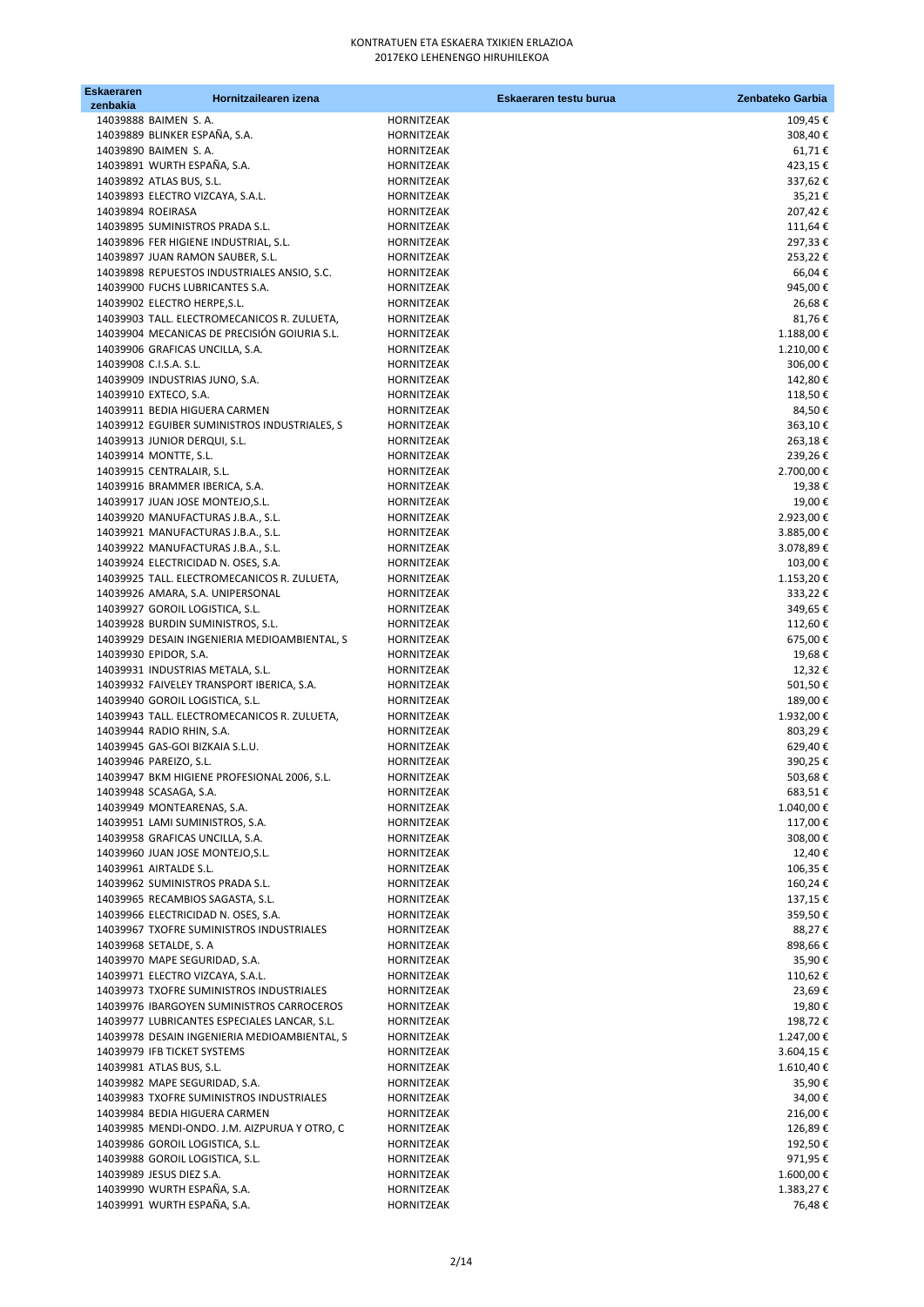| Eskaeraren<br>zenbakia | Hornitzailearen izena                                                           |                          | Eskaeraren testu burua | Zenbateko Garbia     |
|------------------------|---------------------------------------------------------------------------------|--------------------------|------------------------|----------------------|
|                        | 14039888 BAIMEN S.A.                                                            | HORNITZEAK               |                        | 109,45€              |
|                        | 14039889 BLINKER ESPAÑA, S.A.                                                   | HORNITZEAK               |                        | 308,40€              |
|                        | 14039890 BAIMEN S.A.                                                            | HORNITZEAK               |                        | 61,71€               |
|                        | 14039891 WURTH ESPAÑA, S.A.                                                     | HORNITZEAK               |                        | 423,15€              |
|                        | 14039892 ATLAS BUS, S.L.                                                        | HORNITZEAK               |                        | 337,62€              |
|                        | 14039893 ELECTRO VIZCAYA, S.A.L.                                                | <b>HORNITZEAK</b>        |                        | 35,21€               |
| 14039894 ROEIRASA      |                                                                                 | HORNITZEAK               |                        | 207,42€              |
|                        | 14039895 SUMINISTROS PRADA S.L.                                                 | HORNITZEAK               |                        | 111,64€              |
|                        | 14039896 FER HIGIENE INDUSTRIAL, S.L.<br>14039897 JUAN RAMON SAUBER, S.L.       | HORNITZEAK<br>HORNITZEAK |                        | 297,33€<br>253,22€   |
|                        | 14039898 REPUESTOS INDUSTRIALES ANSIO, S.C.                                     | HORNITZEAK               |                        | 66,04€               |
|                        | 14039900 FUCHS LUBRICANTES S.A.                                                 | HORNITZEAK               |                        | 945,00€              |
|                        | 14039902 ELECTRO HERPE, S.L.                                                    | HORNITZEAK               |                        | 26,68€               |
|                        | 14039903 TALL. ELECTROMECANICOS R. ZULUETA,                                     | HORNITZEAK               |                        | 81,76€               |
|                        | 14039904 MECANICAS DE PRECISIÓN GOIURIA S.L.                                    | HORNITZEAK               |                        | 1.188,00€            |
|                        | 14039906 GRAFICAS UNCILLA, S.A.                                                 | HORNITZEAK               |                        | 1.210,00€            |
|                        | 14039908 C.I.S.A. S.L.                                                          | HORNITZEAK               |                        | 306,00€              |
|                        | 14039909 INDUSTRIAS JUNO, S.A.                                                  | HORNITZEAK               |                        | 142,80€              |
|                        | 14039910 EXTECO, S.A.<br>14039911 BEDIA HIGUERA CARMEN                          | HORNITZEAK<br>HORNITZEAK |                        | 118,50€<br>84,50€    |
|                        | 14039912 EGUIBER SUMINISTROS INDUSTRIALES, S                                    | HORNITZEAK               |                        | 363,10€              |
|                        | 14039913 JUNIOR DERQUI, S.L.                                                    | HORNITZEAK               |                        | 263,18€              |
|                        | 14039914 MONTTE, S.L.                                                           | <b>HORNITZEAK</b>        |                        | 239,26€              |
|                        | 14039915 CENTRALAIR, S.L.                                                       | HORNITZEAK               |                        | 2.700,00 €           |
|                        | 14039916 BRAMMER IBERICA, S.A.                                                  | HORNITZEAK               |                        | 19,38€               |
|                        | 14039917 JUAN JOSE MONTEJO, S.L.                                                | HORNITZEAK               |                        | 19,00€               |
|                        | 14039920 MANUFACTURAS J.B.A., S.L.                                              | HORNITZEAK               |                        | 2.923,00 €           |
|                        | 14039921 MANUFACTURAS J.B.A., S.L.                                              | HORNITZEAK               |                        | 3.885,00 €           |
|                        | 14039922 MANUFACTURAS J.B.A., S.L.                                              | HORNITZEAK               |                        | 3.078,89€            |
|                        | 14039924 ELECTRICIDAD N. OSES, S.A.                                             | HORNITZEAK               |                        | 103,00€              |
|                        | 14039925 TALL. ELECTROMECANICOS R. ZULUETA,<br>14039926 AMARA, S.A. UNIPERSONAL | HORNITZEAK<br>HORNITZEAK |                        | 1.153,20€<br>333,22€ |
|                        | 14039927 GOROIL LOGISTICA, S.L.                                                 | HORNITZEAK               |                        | 349,65€              |
|                        | 14039928 BURDIN SUMINISTROS, S.L.                                               | HORNITZEAK               |                        | 112,60€              |
|                        | 14039929 DESAIN INGENIERIA MEDIOAMBIENTAL, S                                    | HORNITZEAK               |                        | 675,00€              |
|                        | 14039930 EPIDOR, S.A.                                                           | HORNITZEAK               |                        | 19,68€               |
|                        | 14039931 INDUSTRIAS METALA, S.L.                                                | HORNITZEAK               |                        | 12,32€               |
|                        | 14039932 FAIVELEY TRANSPORT IBERICA, S.A.                                       | HORNITZEAK               |                        | 501,50€              |
|                        | 14039940 GOROIL LOGISTICA, S.L.                                                 | HORNITZEAK               |                        | 189,00€              |
|                        | 14039943 TALL. ELECTROMECANICOS R. ZULUETA,                                     | HORNITZEAK               |                        | 1.932,00€            |
|                        | 14039944 RADIO RHIN, S.A.                                                       | <b>HORNITZEAK</b>        |                        | 803,29€              |
|                        | 14039945 GAS-GOI BIZKAIA S.L.U.<br>14039946 PAREIZO, S.L.                       | HORNITZEAK<br>HORNITZEAK |                        | 629,40€<br>390,25€   |
|                        | 14039947 BKM HIGIENE PROFESIONAL 2006, S.L.                                     | HORNITZEAK               |                        | 503,68€              |
|                        | 14039948 SCASAGA, S.A.                                                          | HORNITZEAK               |                        | 683,51€              |
|                        | 14039949 MONTEARENAS, S.A.                                                      | HORNITZEAK               |                        | 1.040,00 €           |
|                        | 14039951 LAMI SUMINISTROS, S.A.                                                 | HORNITZEAK               |                        | 117,00€              |
|                        | 14039958 GRAFICAS UNCILLA, S.A.                                                 | HORNITZEAK               |                        | 308,00€              |
|                        | 14039960 JUAN JOSE MONTEJO, S.L.                                                | HORNITZEAK               |                        | 12,40€               |
|                        | 14039961 AIRTALDE S.L.                                                          | HORNITZEAK               |                        | 106,35€              |
|                        | 14039962 SUMINISTROS PRADA S.L.                                                 | HORNITZEAK               |                        | 160,24€              |
|                        | 14039965 RECAMBIOS SAGASTA, S.L.<br>14039966 ELECTRICIDAD N. OSES, S.A.         | HORNITZEAK<br>HORNITZEAK |                        | 137,15€              |
|                        | 14039967 TXOFRE SUMINISTROS INDUSTRIALES                                        | HORNITZEAK               |                        | 359,50€<br>88,27€    |
|                        | 14039968 SETALDE, S. A                                                          | HORNITZEAK               |                        | 898,66€              |
|                        | 14039970 MAPE SEGURIDAD, S.A.                                                   | HORNITZEAK               |                        | 35,90€               |
|                        | 14039971 ELECTRO VIZCAYA, S.A.L.                                                | HORNITZEAK               |                        | 110,62€              |
|                        | 14039973 TXOFRE SUMINISTROS INDUSTRIALES                                        | HORNITZEAK               |                        | 23,69€               |
|                        | 14039976 IBARGOYEN SUMINISTROS CARROCEROS                                       | HORNITZEAK               |                        | 19,80€               |
|                        | 14039977 LUBRICANTES ESPECIALES LANCAR, S.L.                                    | HORNITZEAK               |                        | 198,72€              |
|                        | 14039978 DESAIN INGENIERIA MEDIOAMBIENTAL, S                                    | HORNITZEAK               |                        | 1.247,00€            |
|                        | 14039979 IFB TICKET SYSTEMS                                                     | HORNITZEAK               |                        | 3.604,15€            |
|                        | 14039981 ATLAS BUS, S.L.                                                        | HORNITZEAK<br>HORNITZEAK |                        | 1.610,40 €           |
|                        | 14039982 MAPE SEGURIDAD, S.A.<br>14039983 TXOFRE SUMINISTROS INDUSTRIALES       | HORNITZEAK               |                        | 35,90€<br>34,00€     |
|                        | 14039984 BEDIA HIGUERA CARMEN                                                   | HORNITZEAK               |                        | 216,00€              |
|                        | 14039985 MENDI-ONDO. J.M. AIZPURUA Y OTRO, C                                    | HORNITZEAK               |                        | 126,89€              |
|                        | 14039986 GOROIL LOGISTICA, S.L.                                                 | HORNITZEAK               |                        | 192,50€              |
|                        | 14039988 GOROIL LOGISTICA, S.L.                                                 | HORNITZEAK               |                        | 971,95€              |
|                        | 14039989 JESUS DIEZ S.A.                                                        | HORNITZEAK               |                        | 1.600,00 €           |
|                        | 14039990 WURTH ESPAÑA, S.A.                                                     | HORNITZEAK               |                        | 1.383,27€            |
|                        | 14039991 WURTH ESPAÑA, S.A.                                                     | HORNITZEAK               |                        | 76,48€               |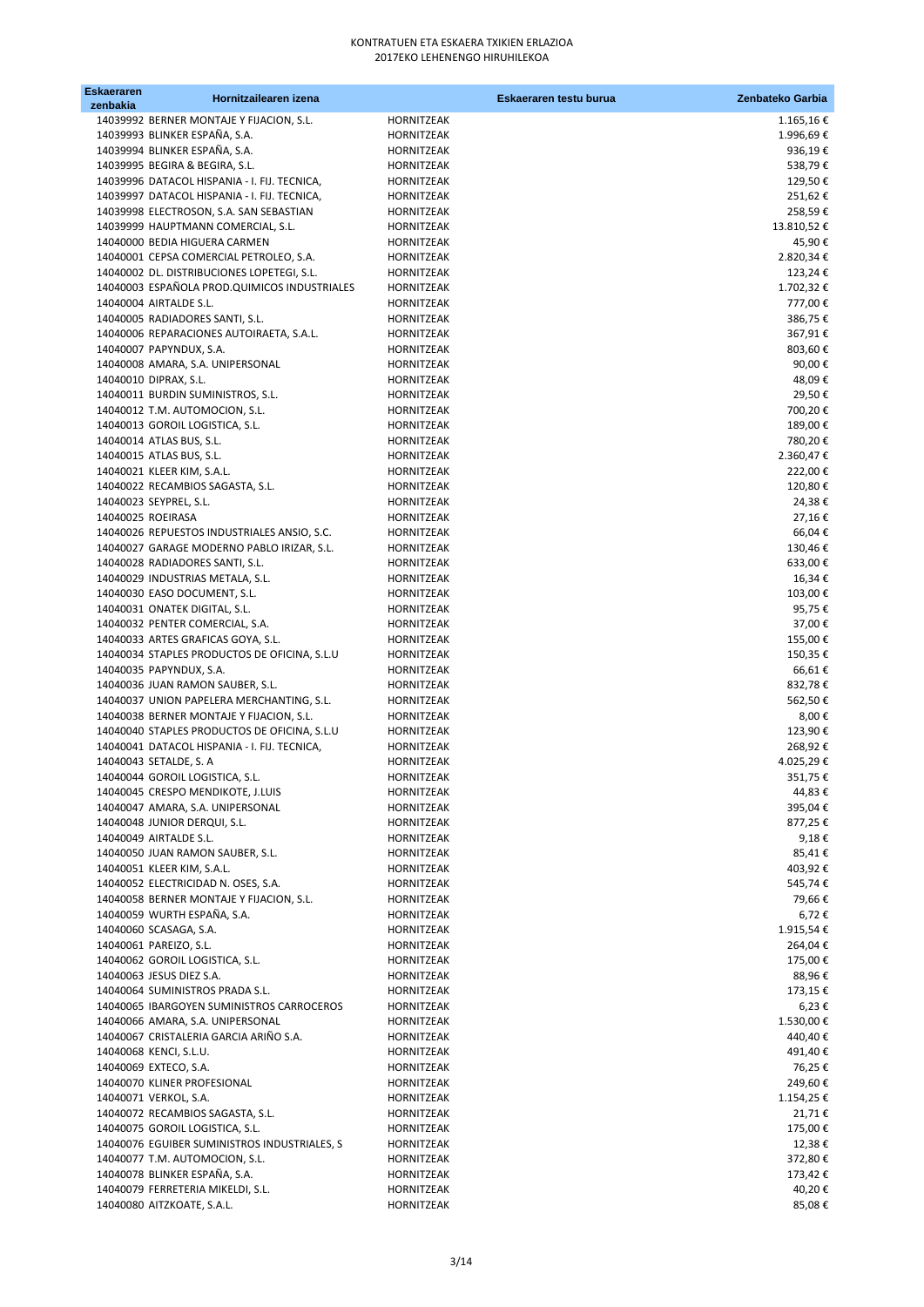| Eskaeraren | Hornitzailearen izena                                                  |                                 | Eskaeraren testu burua | Zenbateko Garbia     |
|------------|------------------------------------------------------------------------|---------------------------------|------------------------|----------------------|
| zenbakia   | 14039992 BERNER MONTAJE Y FIJACION, S.L.                               | HORNITZEAK                      |                        | 1.165,16€            |
|            | 14039993 BLINKER ESPAÑA, S.A.                                          | HORNITZEAK                      |                        | 1.996,69€            |
|            | 14039994 BLINKER ESPAÑA, S.A.                                          | HORNITZEAK                      |                        | 936,19€              |
|            | 14039995 BEGIRA & BEGIRA, S.L.                                         | HORNITZEAK                      |                        | 538,79€              |
|            | 14039996 DATACOL HISPANIA - I. FIJ. TECNICA,                           | HORNITZEAK                      |                        | 129,50€              |
|            | 14039997 DATACOL HISPANIA - I. FIJ. TECNICA,                           | HORNITZEAK                      |                        | 251,62€              |
|            | 14039998 ELECTROSON, S.A. SAN SEBASTIAN                                | HORNITZEAK                      |                        | 258,59€              |
|            | 14039999 HAUPTMANN COMERCIAL, S.L.                                     | HORNITZEAK                      |                        | 13.810,52 €          |
|            | 14040000 BEDIA HIGUERA CARMEN                                          | <b>HORNITZEAK</b>               |                        | 45,90€               |
|            | 14040001 CEPSA COMERCIAL PETROLEO, S.A.                                | HORNITZEAK                      |                        | 2.820,34 €           |
|            | 14040002 DL. DISTRIBUCIONES LOPETEGI, S.L.                             | HORNITZEAK<br><b>HORNITZEAK</b> |                        | 123,24€<br>1.702,32€ |
|            | 14040003 ESPAÑOLA PROD.QUIMICOS INDUSTRIALES<br>14040004 AIRTALDE S.L. | <b>HORNITZEAK</b>               |                        | 777,00€              |
|            | 14040005 RADIADORES SANTI, S.L.                                        | HORNITZEAK                      |                        | 386,75€              |
|            | 14040006 REPARACIONES AUTOIRAETA, S.A.L.                               | HORNITZEAK                      |                        | 367,91€              |
|            | 14040007 PAPYNDUX, S.A.                                                | HORNITZEAK                      |                        | 803,60€              |
|            | 14040008 AMARA, S.A. UNIPERSONAL                                       | HORNITZEAK                      |                        | 90,00€               |
|            | 14040010 DIPRAX, S.L.                                                  | HORNITZEAK                      |                        | 48,09€               |
|            | 14040011 BURDIN SUMINISTROS, S.L.                                      | HORNITZEAK                      |                        | 29,50€               |
|            | 14040012 T.M. AUTOMOCION, S.L.                                         | HORNITZEAK                      |                        | 700,20€              |
|            | 14040013 GOROIL LOGISTICA, S.L.                                        | HORNITZEAK                      |                        | 189,00€              |
|            | 14040014 ATLAS BUS, S.L.                                               | <b>HORNITZEAK</b>               |                        | 780,20€              |
|            | 14040015 ATLAS BUS, S.L.                                               | HORNITZEAK                      |                        | 2.360,47€            |
|            | 14040021 KLEER KIM, S.A.L.                                             | HORNITZEAK                      |                        | 222,00€              |
|            | 14040022 RECAMBIOS SAGASTA, S.L.                                       | <b>HORNITZEAK</b>               |                        | 120,80€              |
|            | 14040023 SEYPREL, S.L.                                                 | HORNITZEAK                      |                        | 24,38€               |
|            | 14040025 ROEIRASA                                                      | HORNITZEAK                      |                        | 27,16€               |
|            | 14040026 REPUESTOS INDUSTRIALES ANSIO, S.C.                            | HORNITZEAK                      |                        | 66,04€               |
|            | 14040027 GARAGE MODERNO PABLO IRIZAR, S.L.                             | HORNITZEAK<br>HORNITZEAK        |                        | 130,46€              |
|            | 14040028 RADIADORES SANTI, S.L.<br>14040029 INDUSTRIAS METALA, S.L.    | HORNITZEAK                      |                        | 633,00€<br>16,34€    |
|            | 14040030 EASO DOCUMENT, S.L.                                           | HORNITZEAK                      |                        | 103,00€              |
|            | 14040031 ONATEK DIGITAL, S.L.                                          | HORNITZEAK                      |                        | 95,75€               |
|            | 14040032 PENTER COMERCIAL, S.A.                                        | HORNITZEAK                      |                        | 37,00€               |
|            | 14040033 ARTES GRAFICAS GOYA, S.L.                                     | HORNITZEAK                      |                        | 155,00€              |
|            | 14040034 STAPLES PRODUCTOS DE OFICINA, S.L.U                           | HORNITZEAK                      |                        | 150,35€              |
|            | 14040035 PAPYNDUX, S.A.                                                | HORNITZEAK                      |                        | 66,61€               |
|            | 14040036 JUAN RAMON SAUBER, S.L.                                       | HORNITZEAK                      |                        | 832,78€              |
|            | 14040037 UNION PAPELERA MERCHANTING, S.L.                              | HORNITZEAK                      |                        | 562,50€              |
|            | 14040038 BERNER MONTAJE Y FIJACION, S.L.                               | HORNITZEAK                      |                        | 8,00€                |
|            | 14040040 STAPLES PRODUCTOS DE OFICINA, S.L.U                           | HORNITZEAK                      |                        | 123,90€              |
|            | 14040041 DATACOL HISPANIA - I. FIJ. TECNICA,                           | HORNITZEAK                      |                        | 268,92€              |
|            | 14040043 SETALDE, S. A                                                 | HORNITZEAK                      |                        | 4.025,29€            |
|            | 14040044 GOROIL LOGISTICA, S.L.                                        | <b>HORNITZEAK</b>               |                        | 351,75€              |
|            | 14040045 CRESPO MENDIKOTE, J.LUIS                                      | HORNITZEAK                      |                        | 44,83 €              |
|            | 14040047 AMARA, S.A. UNIPERSONAL                                       | HORNITZEAK                      |                        | 395,04€<br>877,25€   |
|            | 14040048 JUNIOR DERQUI, S.L.<br>14040049 AIRTALDE S.L.                 | HORNITZEAK<br>HORNITZEAK        |                        | 9,18€                |
|            | 14040050 JUAN RAMON SAUBER, S.L.                                       | HORNITZEAK                      |                        | 85,41€               |
|            | 14040051 KLEER KIM, S.A.L.                                             | HORNITZEAK                      |                        | 403,92€              |
|            | 14040052 ELECTRICIDAD N. OSES, S.A.                                    | HORNITZEAK                      |                        | 545,74€              |
|            | 14040058 BERNER MONTAJE Y FIJACION, S.L.                               | HORNITZEAK                      |                        | 79,66 €              |
|            | 14040059 WURTH ESPAÑA, S.A.                                            | <b>HORNITZEAK</b>               |                        | 6,72€                |
|            | 14040060 SCASAGA, S.A.                                                 | HORNITZEAK                      |                        | 1.915,54€            |
|            | 14040061 PAREIZO, S.L.                                                 | HORNITZEAK                      |                        | 264,04€              |
|            | 14040062 GOROIL LOGISTICA, S.L.                                        | HORNITZEAK                      |                        | 175,00€              |
|            | 14040063 JESUS DIEZ S.A.                                               | HORNITZEAK                      |                        | 88,96€               |
|            | 14040064 SUMINISTROS PRADA S.L.                                        | HORNITZEAK                      |                        | 173,15€              |
|            | 14040065 IBARGOYEN SUMINISTROS CARROCEROS                              | HORNITZEAK                      |                        | 6,23€                |
|            | 14040066 AMARA, S.A. UNIPERSONAL                                       | HORNITZEAK                      |                        | 1.530,00€            |
|            | 14040067 CRISTALERIA GARCIA ARIÑO S.A.                                 | HORNITZEAK                      |                        | 440,40€              |
|            | 14040068 KENCI, S.L.U.                                                 | HORNITZEAK                      |                        | 491,40€              |
|            | 14040069 EXTECO, S.A.                                                  | HORNITZEAK                      |                        | 76,25€               |
|            | 14040070 KLINER PROFESIONAL                                            | HORNITZEAK                      |                        | 249,60€              |
|            | 14040071 VERKOL, S.A.                                                  | HORNITZEAK                      |                        | 1.154,25€            |
|            | 14040072 RECAMBIOS SAGASTA, S.L.<br>14040075 GOROIL LOGISTICA, S.L.    | HORNITZEAK<br>HORNITZEAK        |                        | 21,71€<br>175,00€    |
|            | 14040076 EGUIBER SUMINISTROS INDUSTRIALES, S                           | HORNITZEAK                      |                        | 12,38€               |
|            | 14040077 T.M. AUTOMOCION, S.L.                                         | HORNITZEAK                      |                        | 372,80€              |
|            | 14040078 BLINKER ESPAÑA, S.A.                                          | HORNITZEAK                      |                        | 173,42 €             |
|            | 14040079 FERRETERIA MIKELDI, S.L.                                      | HORNITZEAK                      |                        | 40,20€               |
|            | 14040080 AITZKOATE, S.A.L.                                             | HORNITZEAK                      |                        | 85,08€               |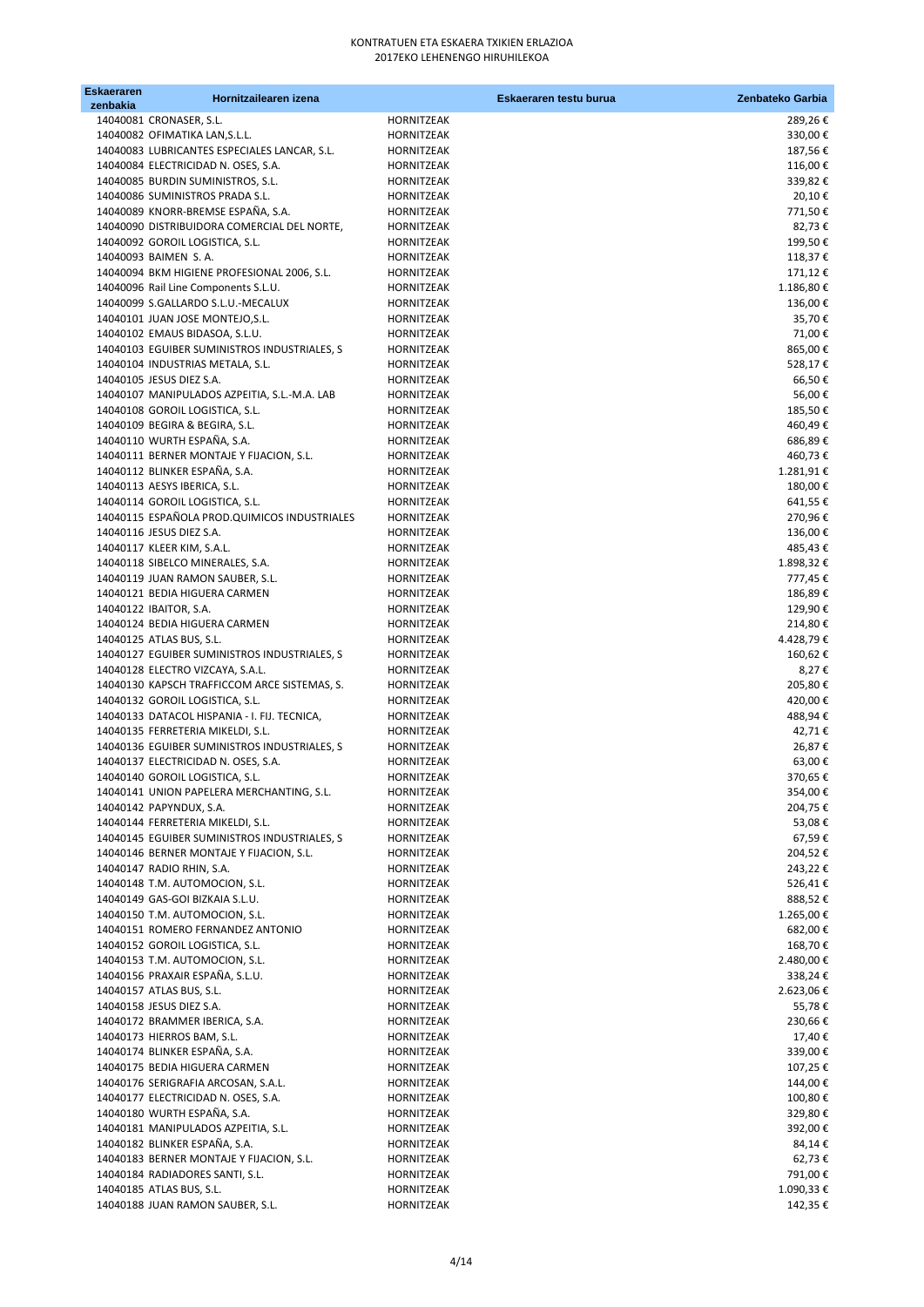| <b>Eskaeraren</b> | Hornitzailearen izena                                                        |                          | Eskaeraren testu burua | Zenbateko Garbia      |
|-------------------|------------------------------------------------------------------------------|--------------------------|------------------------|-----------------------|
| zenbakia          | 14040081 CRONASER, S.L.                                                      | HORNITZEAK               |                        | 289,26€               |
|                   | 14040082 OFIMATIKA LAN, S.L.L.                                               | HORNITZEAK               |                        | 330,00€               |
|                   | 14040083 LUBRICANTES ESPECIALES LANCAR, S.L.                                 | HORNITZEAK               |                        | 187,56€               |
|                   | 14040084 ELECTRICIDAD N. OSES, S.A.                                          | HORNITZEAK               |                        | 116,00€               |
|                   | 14040085 BURDIN SUMINISTROS, S.L.                                            | HORNITZEAK               |                        | 339,82€               |
|                   | 14040086 SUMINISTROS PRADA S.L.                                              | HORNITZEAK               |                        | 20,10€                |
|                   | 14040089 KNORR-BREMSE ESPAÑA, S.A.                                           | HORNITZEAK               |                        | 771,50€               |
|                   | 14040090 DISTRIBUIDORA COMERCIAL DEL NORTE,                                  | HORNITZEAK               |                        | 82,73€                |
|                   | 14040092 GOROIL LOGISTICA, S.L.                                              | <b>HORNITZEAK</b>        |                        | 199,50€               |
|                   | 14040093 BAIMEN S.A.                                                         | HORNITZEAK               |                        | 118,37€               |
|                   | 14040094 BKM HIGIENE PROFESIONAL 2006, S.L.                                  | HORNITZEAK               |                        | 171,12€               |
|                   | 14040096 Rail Line Components S.L.U.<br>14040099 S.GALLARDO S.L.U.-MECALUX   | HORNITZEAK<br>HORNITZEAK |                        | 1.186,80 €<br>136,00€ |
|                   | 14040101 JUAN JOSE MONTEJO, S.L.                                             | HORNITZEAK               |                        | 35,70€                |
|                   | 14040102 EMAUS BIDASOA, S.L.U.                                               | HORNITZEAK               |                        | 71,00€                |
|                   | 14040103 EGUIBER SUMINISTROS INDUSTRIALES, S                                 | HORNITZEAK               |                        | 865,00€               |
|                   | 14040104 INDUSTRIAS METALA, S.L.                                             | HORNITZEAK               |                        | 528,17€               |
|                   | 14040105 JESUS DIEZ S.A.                                                     | HORNITZEAK               |                        | 66,50€                |
|                   | 14040107 MANIPULADOS AZPEITIA, S.L.-M.A. LAB                                 | HORNITZEAK               |                        | 56,00€                |
|                   | 14040108 GOROIL LOGISTICA, S.L.                                              | HORNITZEAK               |                        | 185,50€               |
|                   | 14040109 BEGIRA & BEGIRA, S.L.                                               | HORNITZEAK               |                        | 460,49€               |
|                   | 14040110 WURTH ESPAÑA, S.A.                                                  | HORNITZEAK               |                        | 686,89€               |
|                   | 14040111 BERNER MONTAJE Y FIJACION, S.L.                                     | HORNITZEAK               |                        | 460,73€               |
|                   | 14040112 BLINKER ESPAÑA, S.A.                                                | HORNITZEAK               |                        | 1.281,91€             |
|                   | 14040113 AESYS IBERICA, S.L.                                                 | HORNITZEAK               |                        | 180,00€               |
|                   | 14040114 GOROIL LOGISTICA, S.L.                                              | HORNITZEAK               |                        | 641,55€               |
|                   | 14040115 ESPAÑOLA PROD.QUIMICOS INDUSTRIALES                                 | HORNITZEAK               |                        | 270,96€               |
|                   | 14040116 JESUS DIEZ S.A.                                                     | HORNITZEAK               |                        | 136,00€               |
|                   | 14040117 KLEER KIM, S.A.L.                                                   | HORNITZEAK               |                        | 485,43€               |
|                   | 14040118 SIBELCO MINERALES, S.A.<br>14040119 JUAN RAMON SAUBER, S.L.         | HORNITZEAK<br>HORNITZEAK |                        | 1.898,32€<br>777,45€  |
|                   | 14040121 BEDIA HIGUERA CARMEN                                                | HORNITZEAK               |                        | 186,89€               |
|                   | 14040122 IBAITOR, S.A.                                                       | HORNITZEAK               |                        | 129,90€               |
|                   | 14040124 BEDIA HIGUERA CARMEN                                                | HORNITZEAK               |                        | 214,80€               |
|                   | 14040125 ATLAS BUS, S.L.                                                     | HORNITZEAK               |                        | 4.428,79€             |
|                   | 14040127 EGUIBER SUMINISTROS INDUSTRIALES, S                                 | HORNITZEAK               |                        | 160,62€               |
|                   | 14040128 ELECTRO VIZCAYA, S.A.L.                                             | HORNITZEAK               |                        | 8,27€                 |
|                   | 14040130 KAPSCH TRAFFICCOM ARCE SISTEMAS, S.                                 | HORNITZEAK               |                        | 205,80€               |
|                   | 14040132 GOROIL LOGISTICA, S.L.                                              | HORNITZEAK               |                        | 420,00€               |
|                   | 14040133 DATACOL HISPANIA - I. FIJ. TECNICA,                                 | HORNITZEAK               |                        | 488,94€               |
|                   | 14040135 FERRETERIA MIKELDI, S.L.                                            | HORNITZEAK               |                        | 42,71€                |
|                   | 14040136 EGUIBER SUMINISTROS INDUSTRIALES, S                                 | HORNITZEAK               |                        | 26,87€                |
|                   | 14040137 ELECTRICIDAD N. OSES, S.A.                                          | HORNITZEAK               |                        | 63,00€                |
|                   | 14040140 GOROIL LOGISTICA, S.L.<br>14040141 UNION PAPELERA MERCHANTING, S.L. | HORNITZEAK<br>HORNITZEAK |                        | 370,65€<br>354,00€    |
|                   | 14040142 PAPYNDUX, S.A.                                                      | HORNITZEAK               |                        | 204,75€               |
|                   | 14040144 FERRETERIA MIKELDI, S.L.                                            | HORNITZEAK               |                        | 53,08€                |
|                   | 14040145 EGUIBER SUMINISTROS INDUSTRIALES, S                                 | HORNITZEAK               |                        | 67,59€                |
|                   | 14040146 BERNER MONTAJE Y FIJACION, S.L.                                     | HORNITZEAK               |                        | 204,52€               |
|                   | 14040147 RADIO RHIN, S.A.                                                    | HORNITZEAK               |                        | 243,22€               |
|                   | 14040148 T.M. AUTOMOCION, S.L.                                               | HORNITZEAK               |                        | 526,41€               |
|                   | 14040149 GAS-GOI BIZKAIA S.L.U.                                              | HORNITZEAK               |                        | 888,52€               |
|                   | 14040150 T.M. AUTOMOCION, S.L.                                               | <b>HORNITZEAK</b>        |                        | 1.265,00€             |
|                   | 14040151 ROMERO FERNANDEZ ANTONIO                                            | HORNITZEAK               |                        | 682,00€               |
|                   | 14040152 GOROIL LOGISTICA, S.L.                                              | HORNITZEAK               |                        | 168,70€               |
|                   | 14040153 T.M. AUTOMOCION, S.L.                                               | HORNITZEAK               |                        | 2.480,00 €            |
|                   | 14040156 PRAXAIR ESPAÑA, S.L.U.                                              | HORNITZEAK               |                        | 338,24€               |
|                   | 14040157 ATLAS BUS, S.L.<br>14040158 JESUS DIEZ S.A.                         | HORNITZEAK<br>HORNITZEAK |                        | 2.623,06€             |
|                   | 14040172 BRAMMER IBERICA, S.A.                                               | HORNITZEAK               |                        | 55,78€<br>230,66€     |
|                   | 14040173 HIERROS BAM, S.L.                                                   | HORNITZEAK               |                        | 17,40€                |
|                   | 14040174 BLINKER ESPAÑA, S.A.                                                | HORNITZEAK               |                        | 339,00€               |
|                   | 14040175 BEDIA HIGUERA CARMEN                                                | HORNITZEAK               |                        | 107,25€               |
|                   | 14040176 SERIGRAFIA ARCOSAN, S.A.L.                                          | HORNITZEAK               |                        | 144,00€               |
|                   | 14040177 ELECTRICIDAD N. OSES, S.A.                                          | HORNITZEAK               |                        | 100,80€               |
|                   | 14040180 WURTH ESPAÑA, S.A.                                                  | HORNITZEAK               |                        | 329,80€               |
|                   | 14040181 MANIPULADOS AZPEITIA, S.L.                                          | HORNITZEAK               |                        | 392,00€               |
|                   | 14040182 BLINKER ESPAÑA, S.A.                                                | HORNITZEAK               |                        | 84,14€                |
|                   | 14040183 BERNER MONTAJE Y FIJACION, S.L.                                     | HORNITZEAK               |                        | 62,73€                |
|                   | 14040184 RADIADORES SANTI, S.L.                                              | HORNITZEAK               |                        | 791,00€               |
|                   | 14040185 ATLAS BUS, S.L.                                                     | HORNITZEAK               |                        | 1.090,33 €            |
|                   | 14040188 JUAN RAMON SAUBER, S.L.                                             | HORNITZEAK               |                        | 142,35€               |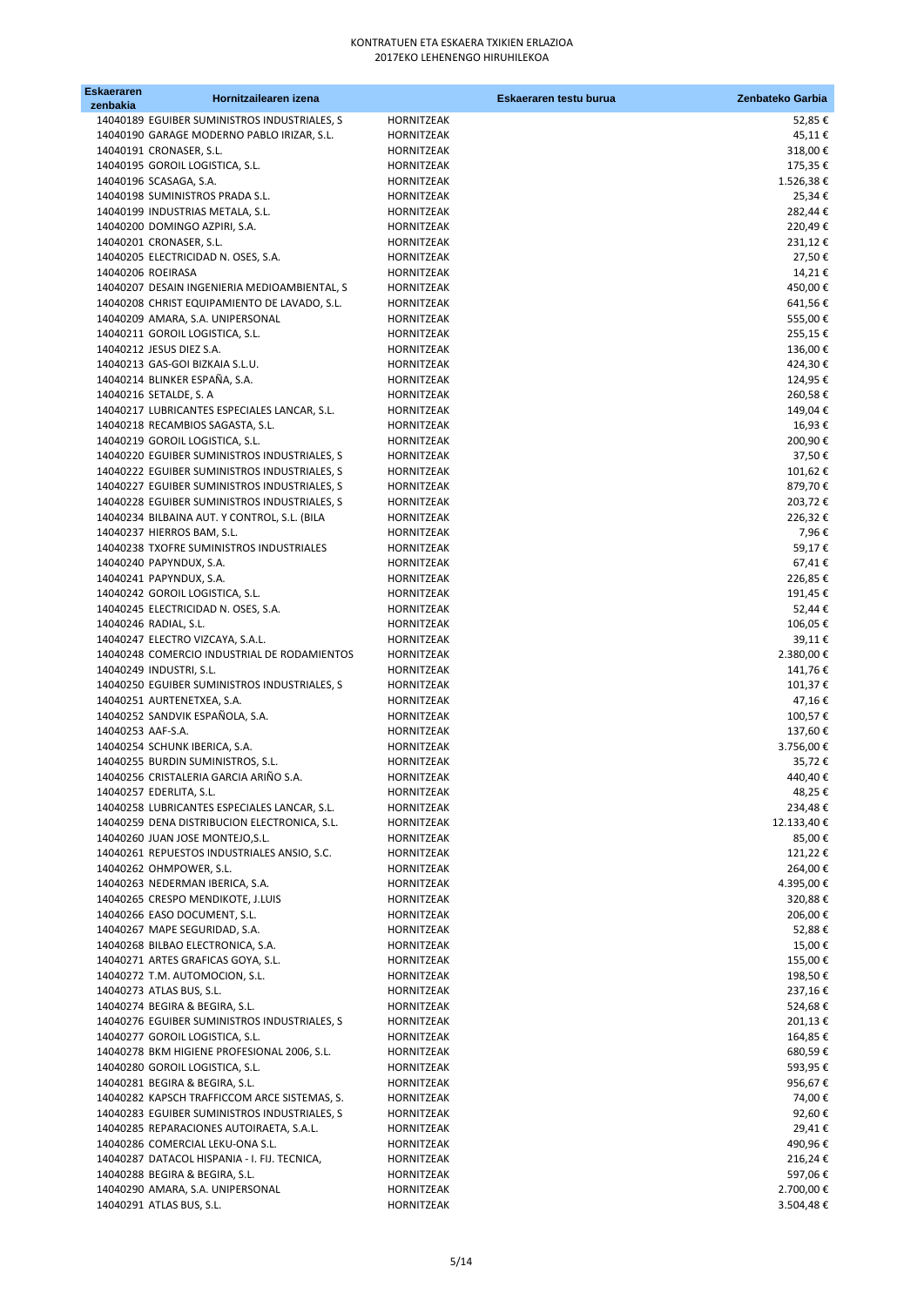| Eskaeraren<br>zenbakia | Hornitzailearen izena                                                                        |                                 | Eskaeraren testu burua | Zenbateko Garbia     |
|------------------------|----------------------------------------------------------------------------------------------|---------------------------------|------------------------|----------------------|
|                        | 14040189 EGUIBER SUMINISTROS INDUSTRIALES, S                                                 | HORNITZEAK                      |                        | 52,85€               |
|                        | 14040190 GARAGE MODERNO PABLO IRIZAR, S.L.                                                   | HORNITZEAK                      |                        | 45,11€               |
|                        | 14040191 CRONASER, S.L.                                                                      | HORNITZEAK                      |                        | 318,00€              |
|                        | 14040195 GOROIL LOGISTICA, S.L.                                                              | HORNITZEAK                      |                        | 175,35€              |
|                        | 14040196 SCASAGA, S.A.                                                                       | HORNITZEAK                      |                        | 1.526,38€            |
|                        | 14040198 SUMINISTROS PRADA S.L.                                                              | <b>HORNITZEAK</b>               |                        | 25,34€               |
|                        | 14040199 INDUSTRIAS METALA, S.L.                                                             | HORNITZEAK                      |                        | 282,44€              |
|                        | 14040200 DOMINGO AZPIRI, S.A.<br>14040201 CRONASER, S.L.                                     | HORNITZEAK<br><b>HORNITZEAK</b> |                        | 220,49€<br>231,12€   |
|                        | 14040205 ELECTRICIDAD N. OSES, S.A.                                                          | HORNITZEAK                      |                        | 27,50€               |
|                        | 14040206 ROEIRASA                                                                            | HORNITZEAK                      |                        | 14,21€               |
|                        | 14040207 DESAIN INGENIERIA MEDIOAMBIENTAL, S                                                 | HORNITZEAK                      |                        | 450,00€              |
|                        | 14040208 CHRIST EQUIPAMIENTO DE LAVADO, S.L.                                                 | HORNITZEAK                      |                        | 641,56€              |
|                        | 14040209 AMARA, S.A. UNIPERSONAL                                                             | HORNITZEAK                      |                        | 555,00€              |
|                        | 14040211 GOROIL LOGISTICA, S.L.                                                              | HORNITZEAK                      |                        | 255,15€              |
|                        | 14040212 JESUS DIEZ S.A.                                                                     | HORNITZEAK                      |                        | 136,00€              |
|                        | 14040213 GAS-GOI BIZKAIA S.L.U.                                                              | HORNITZEAK                      |                        | 424,30€              |
|                        | 14040214 BLINKER ESPAÑA, S.A.                                                                | HORNITZEAK                      |                        | 124,95€              |
|                        | 14040216 SETALDE, S. A                                                                       | HORNITZEAK                      |                        | 260,58€<br>149,04€   |
|                        | 14040217 LUBRICANTES ESPECIALES LANCAR, S.L.<br>14040218 RECAMBIOS SAGASTA, S.L.             | HORNITZEAK<br>HORNITZEAK        |                        | 16,93€               |
|                        | 14040219 GOROIL LOGISTICA, S.L.                                                              | HORNITZEAK                      |                        | 200,90€              |
|                        | 14040220 EGUIBER SUMINISTROS INDUSTRIALES, S                                                 | HORNITZEAK                      |                        | 37,50€               |
|                        | 14040222 EGUIBER SUMINISTROS INDUSTRIALES, S                                                 | HORNITZEAK                      |                        | 101,62€              |
|                        | 14040227 EGUIBER SUMINISTROS INDUSTRIALES, S                                                 | HORNITZEAK                      |                        | 879,70€              |
|                        | 14040228 EGUIBER SUMINISTROS INDUSTRIALES, S                                                 | <b>HORNITZEAK</b>               |                        | 203,72€              |
|                        | 14040234 BILBAINA AUT. Y CONTROL, S.L. (BILA                                                 | HORNITZEAK                      |                        | 226,32€              |
|                        | 14040237 HIERROS BAM, S.L.                                                                   | HORNITZEAK                      |                        | 7,96€                |
|                        | 14040238 TXOFRE SUMINISTROS INDUSTRIALES                                                     | HORNITZEAK                      |                        | 59,17€               |
|                        | 14040240 PAPYNDUX, S.A.                                                                      | HORNITZEAK                      |                        | 67,41€               |
|                        | 14040241 PAPYNDUX, S.A.<br>14040242 GOROIL LOGISTICA, S.L.                                   | HORNITZEAK<br>HORNITZEAK        |                        | 226,85€<br>191,45€   |
|                        | 14040245 ELECTRICIDAD N. OSES, S.A.                                                          | HORNITZEAK                      |                        | 52,44€               |
|                        | 14040246 RADIAL, S.L.                                                                        | HORNITZEAK                      |                        | 106,05€              |
|                        | 14040247 ELECTRO VIZCAYA, S.A.L.                                                             | HORNITZEAK                      |                        | 39,11€               |
|                        | 14040248 COMERCIO INDUSTRIAL DE RODAMIENTOS                                                  | HORNITZEAK                      |                        | 2.380,00€            |
|                        | 14040249 INDUSTRI, S.L.                                                                      | HORNITZEAK                      |                        | 141,76€              |
|                        | 14040250 EGUIBER SUMINISTROS INDUSTRIALES, S                                                 | HORNITZEAK                      |                        | 101,37€              |
|                        | 14040251 AURTENETXEA, S.A.                                                                   | HORNITZEAK                      |                        | 47,16€               |
|                        | 14040252 SANDVIK ESPAÑOLA, S.A.                                                              | HORNITZEAK                      |                        | 100,57€              |
| 14040253 AAF-S.A.      |                                                                                              | <b>HORNITZEAK</b>               |                        | 137,60€              |
|                        | 14040254 SCHUNK IBERICA, S.A.<br>14040255 BURDIN SUMINISTROS, S.L.                           | HORNITZEAK<br>HORNITZEAK        |                        | 3.756,00 €<br>35,72€ |
|                        | 14040256 CRISTALERIA GARCIA ARIÑO S.A.                                                       | HORNITZEAK                      |                        | 440,40€              |
|                        | 14040257 EDERLITA, S.L.                                                                      | HORNITZEAK                      |                        | 48,25€               |
|                        | 14040258 LUBRICANTES ESPECIALES LANCAR, S.L.                                                 | HORNITZEAK                      |                        | 234,48€              |
|                        | 14040259 DENA DISTRIBUCION ELECTRONICA, S.L.                                                 | HORNITZEAK                      |                        | 12.133,40€           |
|                        | 14040260 JUAN JOSE MONTEJO, S.L.                                                             | HORNITZEAK                      |                        | 85,00€               |
|                        | 14040261 REPUESTOS INDUSTRIALES ANSIO, S.C.                                                  | HORNITZEAK                      |                        | 121,22€              |
|                        | 14040262 OHMPOWER, S.L.                                                                      | HORNITZEAK                      |                        | 264,00€              |
|                        | 14040263 NEDERMAN IBERICA, S.A.                                                              | HORNITZEAK                      |                        | 4.395,00€            |
|                        | 14040265 CRESPO MENDIKOTE, J.LUIS                                                            | HORNITZEAK                      |                        | 320,88€              |
|                        | 14040266 EASO DOCUMENT, S.L.<br>14040267 MAPE SEGURIDAD, S.A.                                | HORNITZEAK<br>HORNITZEAK        |                        | 206,00€<br>52,88€    |
|                        | 14040268 BILBAO ELECTRONICA, S.A.                                                            | HORNITZEAK                      |                        | 15,00€               |
|                        | 14040271 ARTES GRAFICAS GOYA, S.L.                                                           | HORNITZEAK                      |                        | 155,00€              |
|                        | 14040272 T.M. AUTOMOCION, S.L.                                                               | <b>HORNITZEAK</b>               |                        | 198,50€              |
|                        | 14040273 ATLAS BUS, S.L.                                                                     | HORNITZEAK                      |                        | 237,16€              |
|                        | 14040274 BEGIRA & BEGIRA, S.L.                                                               | HORNITZEAK                      |                        | 524,68€              |
|                        | 14040276 EGUIBER SUMINISTROS INDUSTRIALES, S                                                 | HORNITZEAK                      |                        | 201,13€              |
|                        | 14040277 GOROIL LOGISTICA, S.L.                                                              | HORNITZEAK                      |                        | 164,85€              |
|                        | 14040278 BKM HIGIENE PROFESIONAL 2006, S.L.                                                  | HORNITZEAK                      |                        | 680,59€              |
|                        | 14040280 GOROIL LOGISTICA, S.L.                                                              | HORNITZEAK                      |                        | 593,95€              |
|                        | 14040281 BEGIRA & BEGIRA, S.L.                                                               | HORNITZEAK                      |                        | 956,67€              |
|                        | 14040282 KAPSCH TRAFFICCOM ARCE SISTEMAS, S.<br>14040283 EGUIBER SUMINISTROS INDUSTRIALES, S | HORNITZEAK<br>HORNITZEAK        |                        | 74,00€<br>92,60€     |
|                        | 14040285 REPARACIONES AUTOIRAETA, S.A.L.                                                     | HORNITZEAK                      |                        | 29,41€               |
|                        | 14040286 COMERCIAL LEKU-ONA S.L.                                                             | HORNITZEAK                      |                        | 490,96€              |
|                        | 14040287 DATACOL HISPANIA - I. FIJ. TECNICA,                                                 | HORNITZEAK                      |                        | 216,24€              |
|                        | 14040288 BEGIRA & BEGIRA, S.L.                                                               | HORNITZEAK                      |                        | 597,06€              |
|                        | 14040290 AMARA, S.A. UNIPERSONAL                                                             | HORNITZEAK                      |                        | 2.700,00€            |
|                        | 14040291 ATLAS BUS, S.L.                                                                     | HORNITZEAK                      |                        | 3.504,48€            |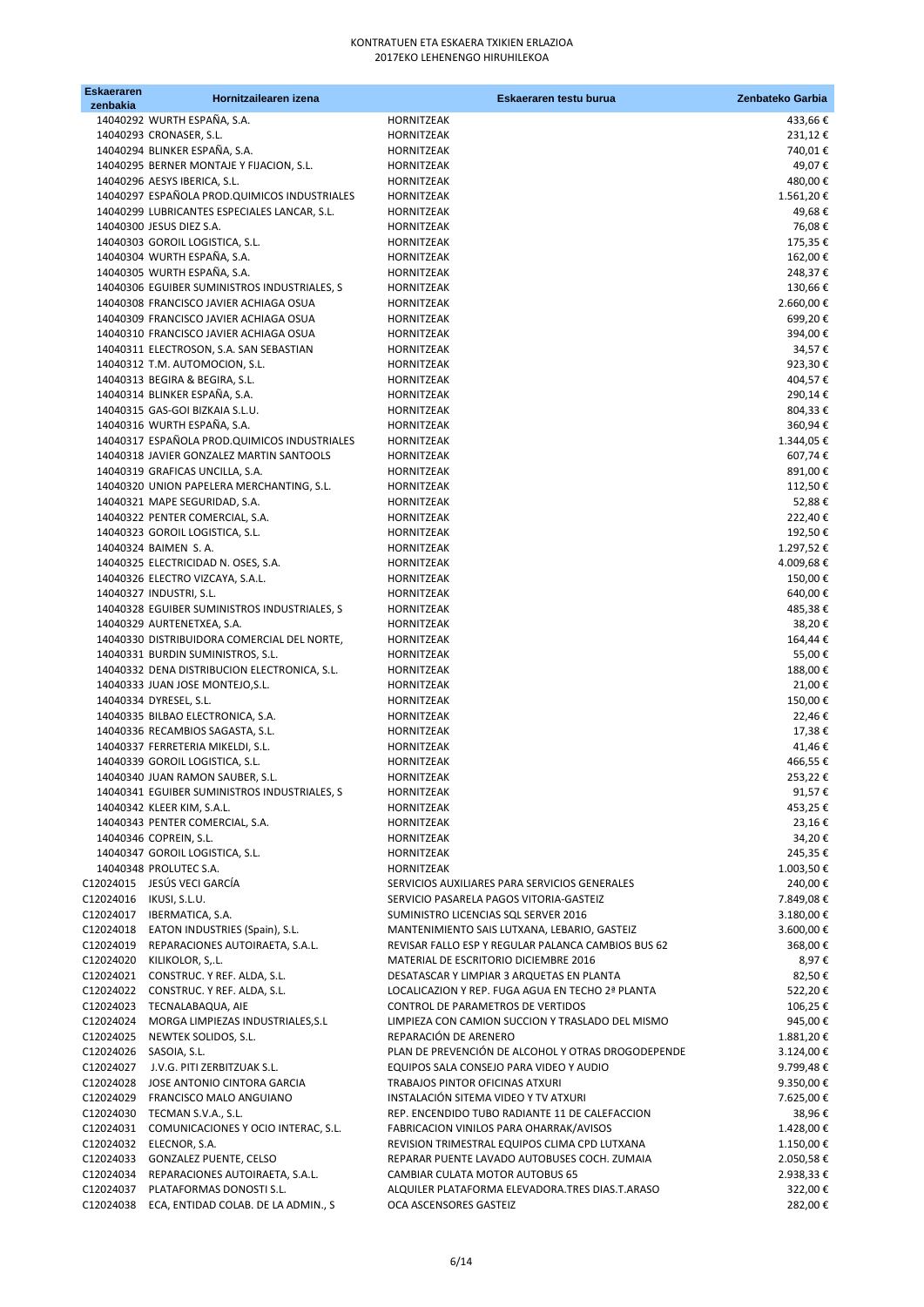| <b>Eskaeraren</b><br>zenbakia | Hornitzailearen izena                                                          | Eskaeraren testu burua                                                                    | Zenbateko Garbia            |
|-------------------------------|--------------------------------------------------------------------------------|-------------------------------------------------------------------------------------------|-----------------------------|
|                               | 14040292 WURTH ESPAÑA, S.A.                                                    | HORNITZEAK                                                                                | 433,66€                     |
|                               | 14040293 CRONASER, S.L.                                                        | HORNITZEAK                                                                                | 231,12€                     |
|                               | 14040294 BLINKER ESPAÑA, S.A.                                                  | HORNITZEAK                                                                                | 740,01€                     |
|                               | 14040295 BERNER MONTAJE Y FIJACION, S.L.                                       | HORNITZEAK                                                                                | 49,07€                      |
|                               | 14040296 AESYS IBERICA, S.L.<br>14040297 ESPAÑOLA PROD.QUIMICOS INDUSTRIALES   | HORNITZEAK<br>HORNITZEAK                                                                  | 480,00€<br>$1.561,20$ $\in$ |
|                               | 14040299 LUBRICANTES ESPECIALES LANCAR, S.L.                                   | HORNITZEAK                                                                                | 49,68€                      |
|                               | 14040300 JESUS DIEZ S.A.                                                       | HORNITZEAK                                                                                | 76,08€                      |
|                               | 14040303 GOROIL LOGISTICA, S.L.                                                | HORNITZEAK                                                                                | 175,35€                     |
|                               | 14040304 WURTH ESPAÑA, S.A.                                                    | HORNITZEAK                                                                                | 162,00€                     |
|                               | 14040305 WURTH ESPAÑA, S.A.<br>14040306 EGUIBER SUMINISTROS INDUSTRIALES, S    | HORNITZEAK<br>HORNITZEAK                                                                  | 248,37€<br>130,66€          |
|                               | 14040308 FRANCISCO JAVIER ACHIAGA OSUA                                         | HORNITZEAK                                                                                | 2.660,00€                   |
|                               | 14040309 FRANCISCO JAVIER ACHIAGA OSUA                                         | HORNITZEAK                                                                                | 699,20€                     |
|                               | 14040310 FRANCISCO JAVIER ACHIAGA OSUA                                         | HORNITZEAK                                                                                | 394,00€                     |
|                               | 14040311 ELECTROSON, S.A. SAN SEBASTIAN                                        | HORNITZEAK                                                                                | 34,57€                      |
|                               | 14040312 T.M. AUTOMOCION, S.L.                                                 | HORNITZEAK                                                                                | 923,30€                     |
|                               | 14040313 BEGIRA & BEGIRA, S.L.<br>14040314 BLINKER ESPAÑA, S.A.                | HORNITZEAK<br>HORNITZEAK                                                                  | 404,57€<br>290,14€          |
|                               | 14040315 GAS-GOI BIZKAIA S.L.U.                                                | <b>HORNITZEAK</b>                                                                         | 804,33€                     |
|                               | 14040316 WURTH ESPAÑA, S.A.                                                    | <b>HORNITZEAK</b>                                                                         | 360,94€                     |
|                               | 14040317 ESPAÑOLA PROD.QUIMICOS INDUSTRIALES                                   | HORNITZEAK                                                                                | 1.344,05 €                  |
|                               | 14040318 JAVIER GONZALEZ MARTIN SANTOOLS                                       | HORNITZEAK                                                                                | 607,74€                     |
|                               | 14040319 GRAFICAS UNCILLA, S.A.                                                | HORNITZEAK                                                                                | 891,00€                     |
|                               | 14040320 UNION PAPELERA MERCHANTING, S.L.<br>14040321 MAPE SEGURIDAD, S.A.     | <b>HORNITZEAK</b><br>HORNITZEAK                                                           | 112,50€<br>52,88€           |
|                               | 14040322 PENTER COMERCIAL, S.A.                                                | HORNITZEAK                                                                                | 222,40€                     |
|                               | 14040323 GOROIL LOGISTICA, S.L.                                                | HORNITZEAK                                                                                | 192,50€                     |
|                               | 14040324 BAIMEN S.A.                                                           | HORNITZEAK                                                                                | 1.297,52€                   |
|                               | 14040325 ELECTRICIDAD N. OSES, S.A.                                            | HORNITZEAK                                                                                | 4.009,68€                   |
|                               | 14040326 ELECTRO VIZCAYA, S.A.L.                                               | HORNITZEAK                                                                                | 150,00€                     |
|                               | 14040327 INDUSTRI, S.L.<br>14040328 EGUIBER SUMINISTROS INDUSTRIALES, S        | HORNITZEAK<br>HORNITZEAK                                                                  | 640,00€<br>485,38€          |
|                               | 14040329 AURTENETXEA, S.A.                                                     | HORNITZEAK                                                                                | 38,20€                      |
|                               | 14040330 DISTRIBUIDORA COMERCIAL DEL NORTE,                                    | HORNITZEAK                                                                                | 164,44€                     |
|                               | 14040331 BURDIN SUMINISTROS, S.L.                                              | HORNITZEAK                                                                                | 55,00€                      |
|                               | 14040332 DENA DISTRIBUCION ELECTRONICA, S.L.                                   | HORNITZEAK                                                                                | 188,00€                     |
|                               | 14040333 JUAN JOSE MONTEJO, S.L.                                               | HORNITZEAK                                                                                | 21,00€                      |
|                               | 14040334 DYRESEL, S.L.<br>14040335 BILBAO ELECTRONICA, S.A.                    | <b>HORNITZEAK</b><br>HORNITZEAK                                                           | 150,00€<br>22,46€           |
|                               | 14040336 RECAMBIOS SAGASTA, S.L.                                               | <b>HORNITZEAK</b>                                                                         | 17,38€                      |
|                               | 14040337 FERRETERIA MIKELDI, S.L.                                              | HORNITZEAK                                                                                | 41,46€                      |
|                               | 14040339 GOROIL LOGISTICA, S.L.                                                | <b>HORNITZEAK</b>                                                                         | 466,55€                     |
|                               | 14040340 JUAN RAMON SAUBER, S.L.                                               | HORNITZEAK                                                                                | 253,22€                     |
|                               | 14040341 EGUIBER SUMINISTROS INDUSTRIALES, S                                   | HORNITZEAK<br>HORNITZEAK                                                                  | 91,57€<br>453,25€           |
|                               | 14040342 KLEER KIM, S.A.L.<br>14040343 PENTER COMERCIAL, S.A.                  | HORNITZEAK                                                                                | 23,16€                      |
|                               | 14040346 COPREIN, S.L.                                                         | HORNITZEAK                                                                                | 34,20€                      |
|                               | 14040347 GOROIL LOGISTICA, S.L.                                                | HORNITZEAK                                                                                | 245,35€                     |
|                               | 14040348 PROLUTEC S.A.                                                         | HORNITZEAK                                                                                | 1.003,50€                   |
|                               | C12024015 JESÚS VECI GARCÍA                                                    | SERVICIOS AUXILIARES PARA SERVICIOS GENERALES                                             | 240,00€                     |
| C12024016 IKUSI, S.L.U.       | C12024017 IBERMATICA, S.A.                                                     | SERVICIO PASARELA PAGOS VITORIA-GASTEIZ<br>SUMINISTRO LICENCIAS SQL SERVER 2016           | 7.849,08€<br>3.180,00€      |
| C12024018                     | EATON INDUSTRIES (Spain), S.L.                                                 | MANTENIMIENTO SAIS LUTXANA, LEBARIO, GASTEIZ                                              | 3.600,00 €                  |
|                               | C12024019 REPARACIONES AUTOIRAETA, S.A.L.                                      | REVISAR FALLO ESP Y REGULAR PALANCA CAMBIOS BUS 62                                        | 368,00€                     |
|                               | C12024020 KILIKOLOR, S,.L.                                                     | MATERIAL DE ESCRITORIO DICIEMBRE 2016                                                     | 8,97€                       |
|                               | C12024021 CONSTRUC. Y REF. ALDA, S.L.                                          | DESATASCAR Y LIMPIAR 3 ARQUETAS EN PLANTA                                                 | 82,50€                      |
|                               | C12024022 CONSTRUC. Y REF. ALDA, S.L.                                          | LOCALICAZION Y REP. FUGA AGUA EN TECHO 2ª PLANTA                                          | 522,20€                     |
|                               | C12024023 TECNALABAQUA, AIE<br>C12024024 MORGA LIMPIEZAS INDUSTRIALES, S.L     | CONTROL DE PARAMETROS DE VERTIDOS<br>LIMPIEZA CON CAMION SUCCION Y TRASLADO DEL MISMO     | 106,25€<br>945,00€          |
|                               | C12024025 NEWTEK SOLIDOS, S.L.                                                 | REPARACIÓN DE ARENERO                                                                     | 1.881,20€                   |
| C12024026                     | SASOIA, S.L.                                                                   | PLAN DE PREVENCIÓN DE ALCOHOL Y OTRAS DROGODEPENDE                                        | 3.124,00€                   |
| C12024027                     | J.V.G. PITI ZERBITZUAK S.L.                                                    | EQUIPOS SALA CONSEJO PARA VIDEO Y AUDIO                                                   | 9.799,48€                   |
| C12024028                     | JOSE ANTONIO CINTORA GARCIA                                                    | TRABAJOS PINTOR OFICINAS ATXURI                                                           | 9.350,00 €                  |
|                               | C12024029 FRANCISCO MALO ANGUIANO                                              | INSTALACIÓN SITEMA VIDEO Y TV ATXURI                                                      | 7.625,00 €                  |
|                               | C12024030 TECMAN S.V.A., S.L.<br>C12024031 COMUNICACIONES Y OCIO INTERAC, S.L. | REP. ENCENDIDO TUBO RADIANTE 11 DE CALEFACCION<br>FABRICACION VINILOS PARA OHARRAK/AVISOS | 38,96€<br>1.428,00 €        |
|                               | C12024032 ELECNOR, S.A.                                                        | REVISION TRIMESTRAL EQUIPOS CLIMA CPD LUTXANA                                             | 1.150,00€                   |
|                               | C12024033 GONZALEZ PUENTE, CELSO                                               | REPARAR PUENTE LAVADO AUTOBUSES COCH. ZUMAIA                                              | 2.050,58€                   |
|                               | C12024034 REPARACIONES AUTOIRAETA, S.A.L.                                      | CAMBIAR CULATA MOTOR AUTOBUS 65                                                           | 2.938,33 €                  |
|                               | C12024037 PLATAFORMAS DONOSTI S.L.                                             | ALQUILER PLATAFORMA ELEVADORA.TRES DIAS.T.ARASO                                           | 322,00€                     |
|                               | C12024038 ECA, ENTIDAD COLAB. DE LA ADMIN., S                                  | OCA ASCENSORES GASTEIZ                                                                    | 282,00€                     |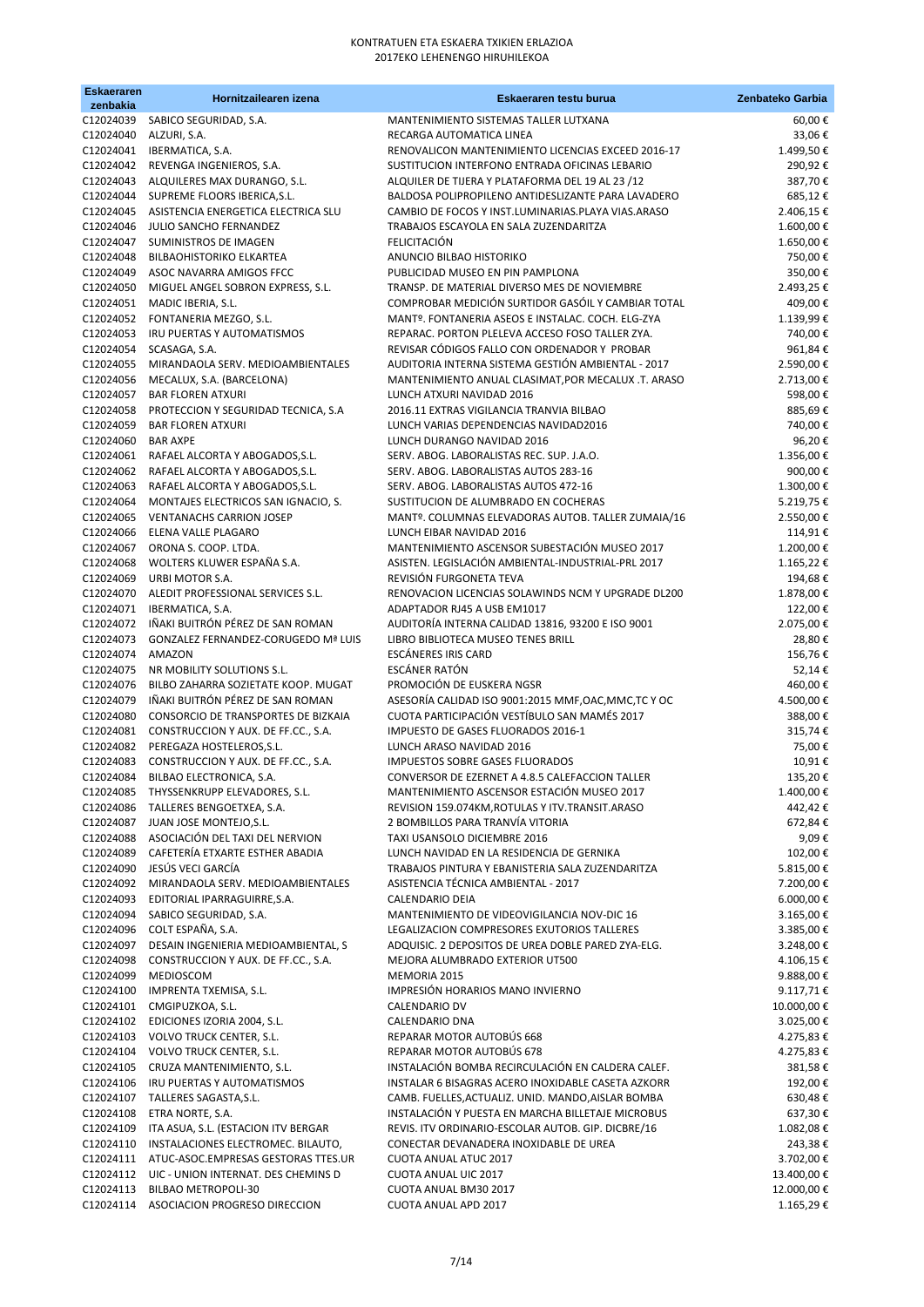| <b>Eskaeraren</b><br>zenbakia | Hornitzailearen izena                                              | Eskaeraren testu burua                                                                                  | Zenbateko Garbia       |
|-------------------------------|--------------------------------------------------------------------|---------------------------------------------------------------------------------------------------------|------------------------|
| C12024039                     | SABICO SEGURIDAD, S.A.                                             | MANTENIMIENTO SISTEMAS TALLER LUTXANA                                                                   | 60,00€                 |
| C12024040                     | ALZURI, S.A.                                                       | RECARGA AUTOMATICA LINEA                                                                                | 33,06€                 |
| C12024041                     | IBERMATICA, S.A.                                                   | RENOVALICON MANTENIMIENTO LICENCIAS EXCEED 2016-17                                                      | 1.499,50€              |
| C12024042                     | REVENGA INGENIEROS, S.A.                                           | SUSTITUCION INTERFONO ENTRADA OFICINAS LEBARIO                                                          | 290,92€                |
| C12024043<br>C12024044        | ALQUILERES MAX DURANGO, S.L.<br>SUPREME FLOORS IBERICA, S.L.       | ALQUILER DE TIJERA Y PLATAFORMA DEL 19 AL 23 /12<br>BALDOSA POLIPROPILENO ANTIDESLIZANTE PARA LAVADERO  | 387,70€<br>685,12€     |
| C12024045                     | ASISTENCIA ENERGETICA ELECTRICA SLU                                | CAMBIO DE FOCOS Y INST.LUMINARIAS.PLAYA VIAS.ARASO                                                      | 2.406,15€              |
| C12024046                     | JULIO SANCHO FERNANDEZ                                             | TRABAJOS ESCAYOLA EN SALA ZUZENDARITZA                                                                  | 1.600,00€              |
| C12024047                     | SUMINISTROS DE IMAGEN                                              | <b>FELICITACIÓN</b>                                                                                     | 1.650,00€              |
| C12024048                     | <b>BILBAOHISTORIKO ELKARTEA</b>                                    | ANUNCIO BILBAO HISTORIKO                                                                                | 750,00€                |
| C12024049                     | ASOC NAVARRA AMIGOS FFCC                                           | PUBLICIDAD MUSEO EN PIN PAMPLONA                                                                        | 350,00€                |
| C12024050                     | MIGUEL ANGEL SOBRON EXPRESS, S.L.                                  | TRANSP. DE MATERIAL DIVERSO MES DE NOVIEMBRE                                                            | 2.493,25€              |
| C12024051                     | MADIC IBERIA, S.L.                                                 | COMPROBAR MEDICIÓN SURTIDOR GASÓIL Y CAMBIAR TOTAL                                                      | 409,00€                |
| C12024052<br>C12024053        | FONTANERIA MEZGO, S.L.<br>IRU PUERTAS Y AUTOMATISMOS               | MANTº. FONTANERIA ASEOS E INSTALAC. COCH. ELG-ZYA<br>REPARAC. PORTON PLELEVA ACCESO FOSO TALLER ZYA.    | 1.139,99€<br>740,00€   |
| C12024054                     | SCASAGA, S.A.                                                      | REVISAR CÓDIGOS FALLO CON ORDENADOR Y PROBAR                                                            | 961,84€                |
| C12024055                     | MIRANDAOLA SERV. MEDIOAMBIENTALES                                  | AUDITORIA INTERNA SISTEMA GESTIÓN AMBIENTAL - 2017                                                      | 2.590,00€              |
| C12024056                     | MECALUX, S.A. (BARCELONA)                                          | MANTENIMIENTO ANUAL CLASIMAT, POR MECALUX .T. ARASO                                                     | 2.713,00€              |
| C12024057                     | <b>BAR FLOREN ATXURI</b>                                           | LUNCH ATXURI NAVIDAD 2016                                                                               | 598,00€                |
| C12024058                     | PROTECCION Y SEGURIDAD TECNICA, S.A                                | 2016.11 EXTRAS VIGILANCIA TRANVIA BILBAO                                                                | 885,69€                |
| C12024059                     | <b>BAR FLOREN ATXURI</b>                                           | LUNCH VARIAS DEPENDENCIAS NAVIDAD2016                                                                   | 740,00€                |
| C12024060                     | <b>BAR AXPE</b>                                                    | LUNCH DURANGO NAVIDAD 2016                                                                              | 96,20€                 |
| C12024061                     | RAFAEL ALCORTA Y ABOGADOS, S.L.                                    | SERV. ABOG. LABORALISTAS REC. SUP. J.A.O.<br>SERV. ABOG. LABORALISTAS AUTOS 283-16                      | 1.356,00 €             |
| C12024062<br>C12024063        | RAFAEL ALCORTA Y ABOGADOS, S.L.<br>RAFAEL ALCORTA Y ABOGADOS, S.L. | SERV. ABOG. LABORALISTAS AUTOS 472-16                                                                   | 900,00€<br>1.300,00€   |
| C12024064                     | MONTAJES ELECTRICOS SAN IGNACIO, S.                                | SUSTITUCION DE ALUMBRADO EN COCHERAS                                                                    | 5.219,75€              |
| C12024065                     | <b>VENTANACHS CARRION JOSEP</b>                                    | MANTº. COLUMNAS ELEVADORAS AUTOB. TALLER ZUMAIA/16                                                      | 2.550,00€              |
| C12024066                     | ELENA VALLE PLAGARO                                                | LUNCH EIBAR NAVIDAD 2016                                                                                | 114,91€                |
| C12024067                     | ORONA S. COOP. LTDA.                                               | MANTENIMIENTO ASCENSOR SUBESTACIÓN MUSEO 2017                                                           | 1.200,00€              |
| C12024068                     | WOLTERS KLUWER ESPAÑA S.A.                                         | ASISTEN. LEGISLACIÓN AMBIENTAL-INDUSTRIAL-PRL 2017                                                      | 1.165,22€              |
| C12024069                     | URBI MOTOR S.A.                                                    | REVISIÓN FURGONETA TEVA                                                                                 | 194,68€                |
| C12024070<br>C12024071        | ALEDIT PROFESSIONAL SERVICES S.L.                                  | RENOVACION LICENCIAS SOLAWINDS NCM Y UPGRADE DL200<br>ADAPTADOR RJ45 A USB EM1017                       | 1.878,00 €             |
| C12024072                     | IBERMATICA, S.A.<br>IÑAKI BUITRÓN PÉREZ DE SAN ROMAN               | AUDITORÍA INTERNA CALIDAD 13816, 93200 E ISO 9001                                                       | 122,00€<br>2.075,00 €  |
| C12024073                     | GONZALEZ FERNANDEZ-CORUGEDO Mª LUIS                                | LIBRO BIBLIOTECA MUSEO TENES BRILL                                                                      | 28,80€                 |
| C12024074                     | AMAZON                                                             | <b>ESCÁNERES IRIS CARD</b>                                                                              | 156,76€                |
| C12024075                     | NR MOBILITY SOLUTIONS S.L.                                         | ESCÁNER RATÓN                                                                                           | 52,14€                 |
| C12024076                     | BILBO ZAHARRA SOZIETATE KOOP. MUGAT                                | PROMOCIÓN DE EUSKERA NGSR                                                                               | 460,00€                |
| C12024079                     | IÑAKI BUITRÓN PÉREZ DE SAN ROMAN                                   | ASESORÍA CALIDAD ISO 9001:2015 MMF, OAC, MMC, TC Y OC                                                   | 4.500,00€              |
| C12024080<br>C12024081        | CONSORCIO DE TRANSPORTES DE BIZKAIA                                | CUOTA PARTICIPACIÓN VESTÍBULO SAN MAMÉS 2017<br>IMPUESTO DE GASES FLUORADOS 2016-1                      | 388,00€                |
| C12024082                     | CONSTRUCCION Y AUX. DE FF.CC., S.A.<br>PEREGAZA HOSTELEROS, S.L.   | LUNCH ARASO NAVIDAD 2016                                                                                | 315,74€<br>75,00€      |
| C12024083                     | CONSTRUCCION Y AUX. DE FF.CC., S.A.                                | <b>IMPUESTOS SOBRE GASES FLUORADOS</b>                                                                  | 10,91€                 |
| C12024084                     | BILBAO ELECTRONICA, S.A.                                           | CONVERSOR DE EZERNET A 4.8.5 CALEFACCION TALLER                                                         | 135,20€                |
|                               | C12024085 THYSSENKRUPP ELEVADORES, S.L.                            | MANTENIMIENTO ASCENSOR ESTACIÓN MUSEO 2017                                                              | 1.400,00€              |
|                               | C12024086 TALLERES BENGOETXEA, S.A.                                | REVISION 159.074KM, ROTULAS Y ITV. TRANSIT. ARASO                                                       | 442,42€                |
| C12024087                     | JUAN JOSE MONTEJO, S.L.                                            | 2 BOMBILLOS PARA TRANVÍA VITORIA                                                                        | 672,84€                |
|                               | C12024088 ASOCIACIÓN DEL TAXI DEL NERVION                          | TAXI USANSOLO DICIEMBRE 2016                                                                            | 9,09€                  |
| C12024089<br>C12024090        | CAFETERÍA ETXARTE ESTHER ABADIA<br>JESÚS VECI GARCÍA               | LUNCH NAVIDAD EN LA RESIDENCIA DE GERNIKA<br>TRABAJOS PINTURA Y EBANISTERIA SALA ZUZENDARITZA           | 102,00€<br>5.815,00€   |
| C12024092                     | MIRANDAOLA SERV. MEDIOAMBIENTALES                                  | ASISTENCIA TÉCNICA AMBIENTAL - 2017                                                                     | 7.200,00 €             |
| C12024093                     | EDITORIAL IPARRAGUIRRE, S.A.                                       | <b>CALENDARIO DEIA</b>                                                                                  | $6.000,00 \in$         |
| C12024094                     | SABICO SEGURIDAD, S.A.                                             | MANTENIMIENTO DE VIDEOVIGILANCIA NOV-DIC 16                                                             | 3.165,00€              |
| C12024096                     | COLT ESPAÑA, S.A.                                                  | LEGALIZACION COMPRESORES EXUTORIOS TALLERES                                                             | 3.385,00 €             |
| C12024097                     | DESAIN INGENIERIA MEDIOAMBIENTAL, S                                | ADQUISIC. 2 DEPOSITOS DE UREA DOBLE PARED ZYA-ELG.                                                      | 3.248,00 €             |
| C12024098                     | CONSTRUCCION Y AUX. DE FF.CC., S.A.                                | MEJORA ALUMBRADO EXTERIOR UT500                                                                         | 4.106,15€              |
| C12024099<br>C12024100        | MEDIOSCOM<br>IMPRENTA TXEMISA, S.L.                                | MEMORIA 2015<br>IMPRESIÓN HORARIOS MANO INVIERNO                                                        | 9.888,00€<br>9.117,71€ |
| C12024101                     | CMGIPUZKOA, S.L.                                                   | CALENDARIO DV                                                                                           | 10.000,00 €            |
|                               | C12024102 EDICIONES IZORIA 2004, S.L.                              | CALENDARIO DNA                                                                                          | 3.025,00 €             |
|                               | C12024103 VOLVO TRUCK CENTER, S.L.                                 | REPARAR MOTOR AUTOBÚS 668                                                                               | 4.275,83€              |
|                               | C12024104 VOLVO TRUCK CENTER, S.L.                                 | REPARAR MOTOR AUTOBÚS 678                                                                               | 4.275,83 €             |
| C12024105                     | CRUZA MANTENIMIENTO, S.L.                                          | INSTALACIÓN BOMBA RECIRCULACIÓN EN CALDERA CALEF.                                                       | 381,58€                |
| C12024106                     | IRU PUERTAS Y AUTOMATISMOS                                         | INSTALAR 6 BISAGRAS ACERO INOXIDABLE CASETA AZKORR                                                      | 192,00€                |
| C12024107<br>C12024108        | TALLERES SAGASTA, S.L.<br>ETRA NORTE, S.A.                         | CAMB. FUELLES, ACTUALIZ. UNID. MANDO, AISLAR BOMBA<br>INSTALACIÓN Y PUESTA EN MARCHA BILLETAJE MICROBUS | 630,48€<br>637,30€     |
| C12024109                     | ITA ASUA, S.L. (ESTACION ITV BERGAR                                | REVIS. ITV ORDINARIO-ESCOLAR AUTOB. GIP. DICBRE/16                                                      | 1.082,08€              |
| C12024110                     | INSTALACIONES ELECTROMEC. BILAUTO,                                 | CONECTAR DEVANADERA INOXIDABLE DE UREA                                                                  | 243,38€                |
| C12024111                     | ATUC-ASOC.EMPRESAS GESTORAS TTES.UR                                | <b>CUOTA ANUAL ATUC 2017</b>                                                                            | 3.702,00€              |
|                               | C12024112 UIC - UNION INTERNAT. DES CHEMINS D                      | CUOTA ANUAL UIC 2017                                                                                    | 13.400,00 €            |
| C12024113                     | BILBAO METROPOLI-30                                                | CUOTA ANUAL BM30 2017                                                                                   | 12.000,00 €            |
|                               | C12024114 ASOCIACION PROGRESO DIRECCION                            | CUOTA ANUAL APD 2017                                                                                    | 1.165,29€              |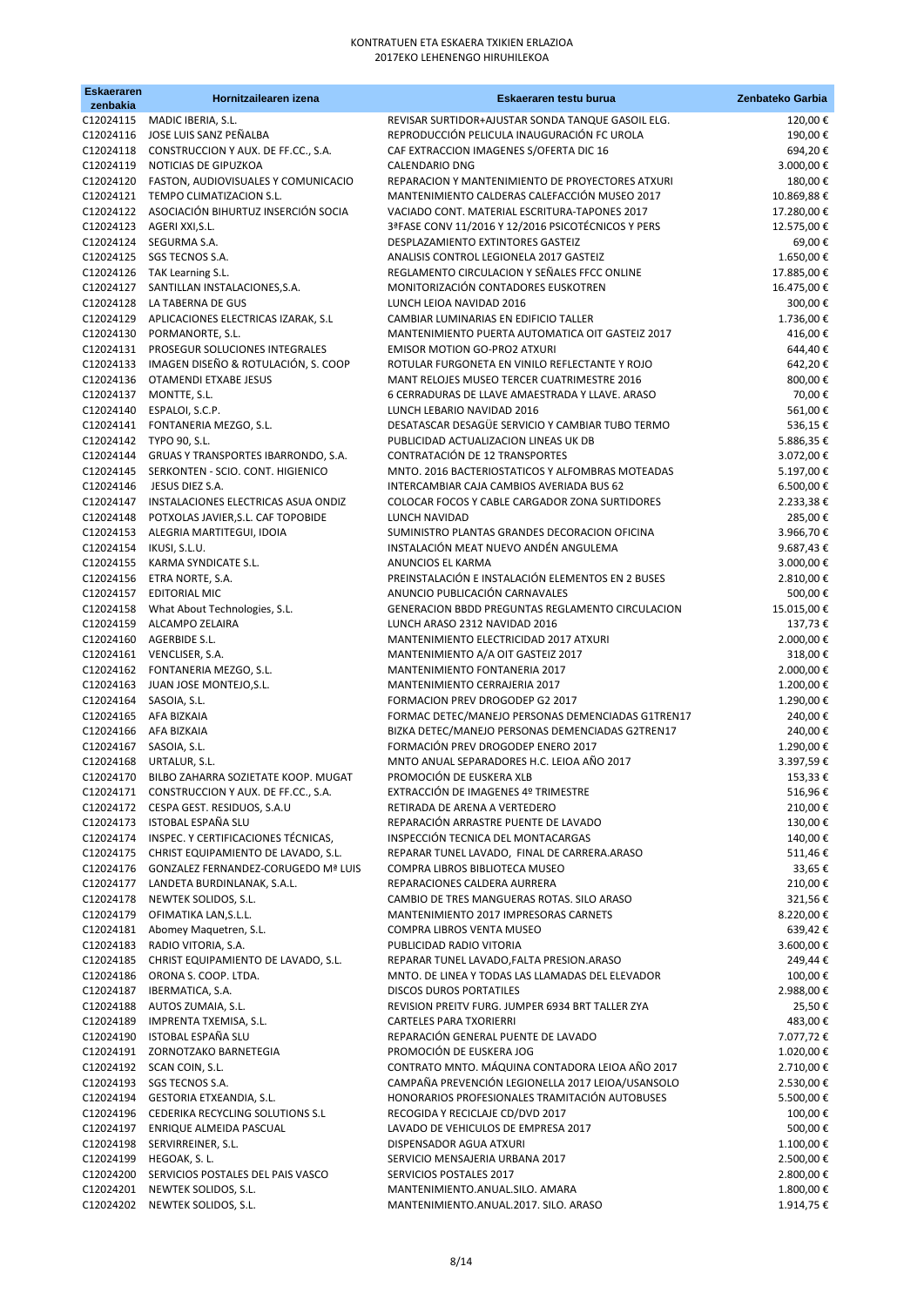| <b>Eskaeraren</b><br>zenbakia | Hornitzailearen izena                                                                        | Eskaeraren testu burua                                                                        | Zenbateko Garbia         |
|-------------------------------|----------------------------------------------------------------------------------------------|-----------------------------------------------------------------------------------------------|--------------------------|
|                               | C12024115 MADIC IBERIA, S.L.                                                                 | REVISAR SURTIDOR+AJUSTAR SONDA TANQUE GASOIL ELG.                                             | 120,00€                  |
|                               | C12024116 JOSE LUIS SANZ PEÑALBA                                                             | REPRODUCCIÓN PELICULA INAUGURACIÓN FC UROLA                                                   | 190,00€                  |
|                               | C12024118 CONSTRUCCION Y AUX. DE FF.CC., S.A.                                                | CAF EXTRACCION IMAGENES S/OFERTA DIC 16                                                       | 694,20€                  |
|                               | C12024119 NOTICIAS DE GIPUZKOA<br>C12024120 FASTON, AUDIOVISUALES Y COMUNICACIO              | <b>CALENDARIO DNG</b><br>REPARACION Y MANTENIMIENTO DE PROYECTORES ATXURI                     | 3.000,00€<br>180,00€     |
|                               | C12024121 TEMPO CLIMATIZACION S.L.                                                           | MANTENIMIENTO CALDERAS CALEFACCIÓN MUSEO 2017                                                 | 10.869,88€               |
|                               | C12024122 ASOCIACIÓN BIHURTUZ INSERCIÓN SOCIA                                                | VACIADO CONT. MATERIAL ESCRITURA-TAPONES 2017                                                 | 17.280,00€               |
|                               | C12024123 AGERI XXI, S.L.                                                                    | 3ªFASE CONV 11/2016 Y 12/2016 PSICOTÉCNICOS Y PERS                                            | 12.575,00€               |
|                               | C12024124 SEGURMA S.A.                                                                       | DESPLAZAMIENTO EXTINTORES GASTEIZ                                                             | 69,00€                   |
|                               | C12024125 SGS TECNOS S.A.                                                                    | ANALISIS CONTROL LEGIONELA 2017 GASTEIZ                                                       | 1.650,00€                |
|                               | C12024126 TAK Learning S.L.<br>C12024127 SANTILLAN INSTALACIONES, S.A.                       | REGLAMENTO CIRCULACION Y SEÑALES FFCC ONLINE<br>MONITORIZACIÓN CONTADORES EUSKOTREN           | 17.885,00€<br>16.475,00€ |
|                               | C12024128 LA TABERNA DE GUS                                                                  | LUNCH LEIOA NAVIDAD 2016                                                                      | 300,00€                  |
|                               | C12024129 APLICACIONES ELECTRICAS IZARAK, S.L                                                | CAMBIAR LUMINARIAS EN EDIFICIO TALLER                                                         | 1.736,00€                |
| C12024130                     | PORMANORTE, S.L.                                                                             | MANTENIMIENTO PUERTA AUTOMATICA OIT GASTEIZ 2017                                              | 416,00€                  |
|                               | C12024131 PROSEGUR SOLUCIONES INTEGRALES                                                     | EMISOR MOTION GO-PRO2 ATXURI                                                                  | 644,40€                  |
|                               | C12024133 IMAGEN DISEÑO & ROTULACIÓN, S. COOP<br>C12024136 OTAMENDI ETXABE JESUS             | ROTULAR FURGONETA EN VINILO REFLECTANTE Y ROJO<br>MANT RELOJES MUSEO TERCER CUATRIMESTRE 2016 | 642,20€<br>800,00€       |
|                               | C12024137 MONTTE, S.L.                                                                       | 6 CERRADURAS DE LLAVE AMAESTRADA Y LLAVE. ARASO                                               | 70,00€                   |
|                               | C12024140 ESPALOI, S.C.P.                                                                    | LUNCH LEBARIO NAVIDAD 2016                                                                    | 561,00€                  |
|                               | C12024141 FONTANERIA MEZGO, S.L.                                                             | DESATASCAR DESAGÜE SERVICIO Y CAMBIAR TUBO TERMO                                              | 536,15€                  |
|                               | C12024142 TYPO 90, S.L.                                                                      | PUBLICIDAD ACTUALIZACION LINEAS UK DB                                                         | 5.886,35€                |
|                               | C12024144 GRUAS Y TRANSPORTES IBARRONDO, S.A.<br>C12024145 SERKONTEN - SCIO. CONT. HIGIENICO | CONTRATACIÓN DE 12 TRANSPORTES<br>MNTO. 2016 BACTERIOSTATICOS Y ALFOMBRAS MOTEADAS            | 3.072,00€<br>5.197,00€   |
| C12024146                     | JESUS DIEZ S.A.                                                                              | INTERCAMBIAR CAJA CAMBIOS AVERIADA BUS 62                                                     | 6.500,00€                |
|                               | C12024147 INSTALACIONES ELECTRICAS ASUA ONDIZ                                                | COLOCAR FOCOS Y CABLE CARGADOR ZONA SURTIDORES                                                | 2.233,38€                |
| C12024148                     | POTXOLAS JAVIER, S.L. CAF TOPOBIDE                                                           | LUNCH NAVIDAD                                                                                 | 285,00€                  |
|                               | C12024153 ALEGRIA MARTITEGUI, IDOIA                                                          | SUMINISTRO PLANTAS GRANDES DECORACION OFICINA                                                 | 3.966,70€                |
| C12024154 IKUSI, S.L.U.       | C12024155 KARMA SYNDICATE S.L.                                                               | INSTALACIÓN MEAT NUEVO ANDÉN ANGULEMA<br>ANUNCIOS EL KARMA                                    | 9.687,43€<br>3.000,00€   |
|                               | C12024156 ETRA NORTE, S.A.                                                                   | PREINSTALACIÓN E INSTALACIÓN ELEMENTOS EN 2 BUSES                                             | 2.810,00€                |
| C12024157                     | <b>EDITORIAL MIC</b>                                                                         | ANUNCIO PUBLICACIÓN CARNAVALES                                                                | 500,00€                  |
|                               | C12024158 What About Technologies, S.L.                                                      | GENERACION BBDD PREGUNTAS REGLAMENTO CIRCULACION                                              | 15.015,00€               |
|                               | C12024159 ALCAMPO ZELAIRA                                                                    | LUNCH ARASO 2312 NAVIDAD 2016                                                                 | 137,73€                  |
|                               | C12024160 AGERBIDE S.L.<br>C12024161 VENCLISER, S.A.                                         | MANTENIMIENTO ELECTRICIDAD 2017 ATXURI<br>MANTENIMIENTO A/A OIT GASTEIZ 2017                  | 2.000,00€<br>318,00€     |
|                               | C12024162 FONTANERIA MEZGO, S.L.                                                             | MANTENIMIENTO FONTANERIA 2017                                                                 | 2.000,00€                |
|                               | C12024163 JUAN JOSE MONTEJO, S.L.                                                            | MANTENIMIENTO CERRAJERIA 2017                                                                 | 1.200,00€                |
| C12024164 SASOIA, S.L.        |                                                                                              | FORMACION PREV DROGODEP G2 2017                                                               | 1.290,00€                |
|                               | C12024165 AFA BIZKAIA                                                                        | FORMAC DETEC/MANEJO PERSONAS DEMENCIADAS G1TREN17                                             | 240,00€                  |
| C12024167 SASOIA, S.L.        | C12024166 AFA BIZKAIA                                                                        | BIZKA DETEC/MANEJO PERSONAS DEMENCIADAS G2TREN17<br>FORMACIÓN PREV DROGODEP ENERO 2017        | 240,00€<br>1.290,00€     |
| C12024168                     | URTALUR, S.L.                                                                                | MNTO ANUAL SEPARADORES H.C. LEIOA AÑO 2017                                                    | 3.397,59€                |
| C12024170                     | BILBO ZAHARRA SOZIETATE KOOP. MUGAT                                                          | PROMOCIÓN DE EUSKERA XLB                                                                      | 153,33€                  |
|                               | C12024171 CONSTRUCCION Y AUX. DE FF.CC., S.A.                                                | EXTRACCIÓN DE IMAGENES 4º TRIMESTRE                                                           | 516,96€                  |
|                               | C12024172 CESPA GEST. RESIDUOS, S.A.U                                                        | RETIRADA DE ARENA A VERTEDERO                                                                 | 210,00€                  |
|                               | C12024173 ISTOBAL ESPAÑA SLU<br>C12024174 INSPEC. Y CERTIFICACIONES TÉCNICAS,                | REPARACIÓN ARRASTRE PUENTE DE LAVADO<br>INSPECCIÓN TECNICA DEL MONTACARGAS                    | 130,00€<br>140,00€       |
|                               | C12024175 CHRIST EQUIPAMIENTO DE LAVADO, S.L.                                                | REPARAR TUNEL LAVADO, FINAL DE CARRERA.ARASO                                                  | 511,46€                  |
|                               | C12024176 GONZALEZ FERNANDEZ-CORUGEDO Mª LUIS                                                | COMPRA LIBROS BIBLIOTECA MUSEO                                                                | 33,65€                   |
| C12024177                     | LANDETA BURDINLANAK, S.A.L.                                                                  | REPARACIONES CALDERA AURRERA                                                                  | 210,00€                  |
|                               | C12024178 NEWTEK SOLIDOS, S.L.                                                               | CAMBIO DE TRES MANGUERAS ROTAS. SILO ARASO                                                    | 321,56€                  |
| C12024179                     | OFIMATIKA LAN, S.L.L.                                                                        | MANTENIMIENTO 2017 IMPRESORAS CARNETS<br>COMPRA LIBROS VENTA MUSEO                            | 8.220,00€                |
| C12024181<br>C12024183        | Abomey Maquetren, S.L.<br>RADIO VITORIA, S.A.                                                | PUBLICIDAD RADIO VITORIA                                                                      | 639,42€<br>3.600,00€     |
| C12024185                     | CHRIST EQUIPAMIENTO DE LAVADO, S.L.                                                          | REPARAR TUNEL LAVADO, FALTA PRESION. ARASO                                                    | 249,44€                  |
| C12024186                     | ORONA S. COOP. LTDA.                                                                         | MNTO. DE LINEA Y TODAS LAS LLAMADAS DEL ELEVADOR                                              | 100,00€                  |
| C12024187                     | IBERMATICA, S.A.                                                                             | <b>DISCOS DUROS PORTATILES</b>                                                                | 2.988,00 €               |
| C12024188                     | AUTOS ZUMAIA, S.L.                                                                           | REVISION PREITV FURG. JUMPER 6934 BRT TALLER ZYA                                              | 25,50€                   |
| C12024189<br>C12024190        | IMPRENTA TXEMISA, S.L.<br>ISTOBAL ESPAÑA SLU                                                 | CARTELES PARA TXORIERRI<br>REPARACIÓN GENERAL PUENTE DE LAVADO                                | 483,00€<br>7.077,72€     |
|                               | C12024191 ZORNOTZAKO BARNETEGIA                                                              | PROMOCIÓN DE EUSKERA JOG                                                                      | 1.020,00€                |
|                               | C12024192 SCAN COIN, S.L.                                                                    | CONTRATO MNTO. MÁQUINA CONTADORA LEIOA AÑO 2017                                               | 2.710,00€                |
|                               | C12024193 SGS TECNOS S.A.                                                                    | CAMPAÑA PREVENCIÓN LEGIONELLA 2017 LEIOA/USANSOLO                                             | 2.530,00 €               |
| C12024194                     | GESTORIA ETXEANDIA, S.L.                                                                     | HONORARIOS PROFESIONALES TRAMITACIÓN AUTOBUSES                                                | 5.500,00€                |
| C12024197                     | C12024196 CEDERIKA RECYCLING SOLUTIONS S.L<br>ENRIQUE ALMEIDA PASCUAL                        | RECOGIDA Y RECICLAJE CD/DVD 2017<br>LAVADO DE VEHICULOS DE EMPRESA 2017                       | 100,00€<br>500,00€       |
| C12024198                     | SERVIRREINER, S.L.                                                                           | DISPENSADOR AGUA ATXURI                                                                       | 1.100,00 €               |
| C12024199                     | HEGOAK, S. L.                                                                                | SERVICIO MENSAJERIA URBANA 2017                                                               | 2.500,00 €               |
| C12024200                     | SERVICIOS POSTALES DEL PAIS VASCO                                                            | SERVICIOS POSTALES 2017                                                                       | 2.800,00€                |
|                               | C12024201 NEWTEK SOLIDOS, S.L.                                                               | MANTENIMIENTO.ANUAL.SILO. AMARA                                                               | 1.800,00 €               |
|                               | C12024202 NEWTEK SOLIDOS, S.L.                                                               | MANTENIMIENTO.ANUAL.2017. SILO. ARASO                                                         | 1.914,75€                |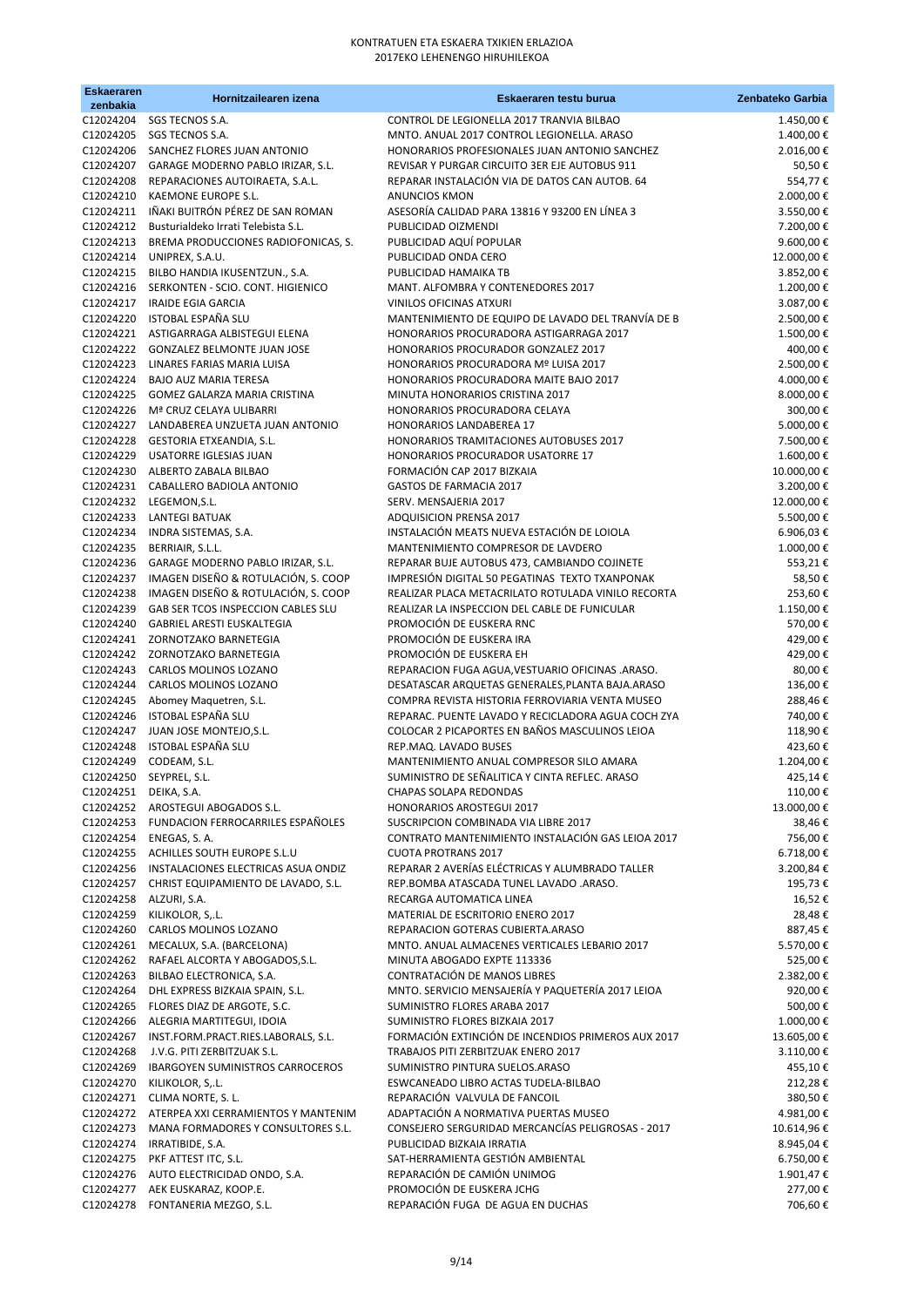| <b>Eskaeraren</b><br>zenbakia | Hornitzailearen izena                                                    | Eskaeraren testu burua                                                                               | Zenbateko Garbia        |
|-------------------------------|--------------------------------------------------------------------------|------------------------------------------------------------------------------------------------------|-------------------------|
| C12024204                     | SGS TECNOS S.A.                                                          | CONTROL DE LEGIONELLA 2017 TRANVIA BILBAO                                                            | 1.450,00€               |
| C12024205                     | SGS TECNOS S.A.                                                          | MNTO. ANUAL 2017 CONTROL LEGIONELLA. ARASO                                                           | 1.400,00€               |
|                               | C12024206 SANCHEZ FLORES JUAN ANTONIO                                    | HONORARIOS PROFESIONALES JUAN ANTONIO SANCHEZ                                                        | 2.016,00€               |
| C12024207<br>C12024208        | GARAGE MODERNO PABLO IRIZAR, S.L.<br>REPARACIONES AUTOIRAETA, S.A.L.     | REVISAR Y PURGAR CIRCUITO 3ER EJE AUTOBUS 911<br>REPARAR INSTALACIÓN VIA DE DATOS CAN AUTOB. 64      | 50,50€<br>554,77€       |
| C12024210                     | KAEMONE EUROPE S.L.                                                      | <b>ANUNCIOS KMON</b>                                                                                 | 2.000,00€               |
| C12024211                     | IÑAKI BUITRÓN PÉREZ DE SAN ROMAN                                         | ASESORÍA CALIDAD PARA 13816 Y 93200 EN LÍNEA 3                                                       | 3.550,00€               |
| C12024212                     | Busturialdeko Irrati Telebista S.L.                                      | PUBLICIDAD OIZMENDI                                                                                  | 7.200,00€               |
| C12024213                     | BREMA PRODUCCIONES RADIOFONICAS, S.                                      | PUBLICIDAD AQUÍ POPULAR                                                                              | 9.600,00€               |
| C12024214<br>C12024215        | UNIPREX, S.A.U.<br>BILBO HANDIA IKUSENTZUN., S.A.                        | PUBLICIDAD ONDA CERO<br>PUBLICIDAD HAMAIKA TB                                                        | 12.000,00€<br>3.852,00€ |
| C12024216                     | SERKONTEN - SCIO. CONT. HIGIENICO                                        | MANT. ALFOMBRA Y CONTENEDORES 2017                                                                   | 1.200,00€               |
| C12024217                     | <b>IRAIDE EGIA GARCIA</b>                                                | <b>VINILOS OFICINAS ATXURI</b>                                                                       | 3.087,00€               |
| C12024220                     | ISTOBAL ESPAÑA SLU                                                       | MANTENIMIENTO DE EQUIPO DE LAVADO DEL TRANVÍA DE B                                                   | 2.500,00€               |
| C12024221                     | ASTIGARRAGA ALBISTEGUI ELENA                                             | HONORARIOS PROCURADORA ASTIGARRAGA 2017                                                              | 1.500,00€               |
| C12024223                     | C12024222 GONZALEZ BELMONTE JUAN JOSE<br>LINARES FARIAS MARIA LUISA      | HONORARIOS PROCURADOR GONZALEZ 2017<br>HONORARIOS PROCURADORA Mº LUISA 2017                          | 400,00€<br>2.500,00€    |
| C12024224                     | <b>BAJO AUZ MARIA TERESA</b>                                             | HONORARIOS PROCURADORA MAITE BAJO 2017                                                               | 4.000,00€               |
| C12024225                     | GOMEZ GALARZA MARIA CRISTINA                                             | MINUTA HONORARIOS CRISTINA 2017                                                                      | 8.000,00€               |
|                               | C12024226 Mª CRUZ CELAYA ULIBARRI                                        | HONORARIOS PROCURADORA CELAYA                                                                        | 300,00€                 |
|                               | C12024227 LANDABEREA UNZUETA JUAN ANTONIO                                | HONORARIOS LANDABEREA 17                                                                             | 5.000,00€               |
| C12024228<br>C12024229        | <b>GESTORIA ETXEANDIA, S.L.</b><br>USATORRE IGLESIAS JUAN                | HONORARIOS TRAMITACIONES AUTOBUSES 2017<br><b>HONORARIOS PROCURADOR USATORRE 17</b>                  | 7.500,00€<br>1.600,00€  |
| C12024230                     | ALBERTO ZABALA BILBAO                                                    | FORMACIÓN CAP 2017 BIZKAIA                                                                           | $10.000,00$ $\in$       |
|                               | C12024231 CABALLERO BADIOLA ANTONIO                                      | <b>GASTOS DE FARMACIA 2017</b>                                                                       | 3.200,00€               |
| C12024232                     | LEGEMON, S.L.                                                            | SERV. MENSAJERIA 2017                                                                                | 12.000,00€              |
| C12024233                     | <b>LANTEGI BATUAK</b>                                                    | ADQUISICION PRENSA 2017                                                                              | 5.500,00€               |
| C12024234<br>C12024235        | INDRA SISTEMAS, S.A.<br>BERRIAIR, S.L.L.                                 | INSTALACIÓN MEATS NUEVA ESTACIÓN DE LOIOLA<br>MANTENIMIENTO COMPRESOR DE LAVDERO                     | 6.906,03€<br>1.000,00€  |
| C12024236                     | GARAGE MODERNO PABLO IRIZAR, S.L.                                        | REPARAR BUJE AUTOBUS 473, CAMBIANDO COJINETE                                                         | 553,21€                 |
| C12024237                     | IMAGEN DISEÑO & ROTULACIÓN, S. COOP                                      | IMPRESIÓN DIGITAL 50 PEGATINAS TEXTO TXANPONAK                                                       | 58,50€                  |
| C12024238                     | IMAGEN DISEÑO & ROTULACIÓN, S. COOP                                      | REALIZAR PLACA METACRILATO ROTULADA VINILO RECORTA                                                   | 253,60€                 |
| C12024239                     | GAB SER TCOS INSPECCION CABLES SLU                                       | REALIZAR LA INSPECCION DEL CABLE DE FUNICULAR                                                        | 1.150,00€               |
| C12024240<br>C12024241        | <b>GABRIEL ARESTI EUSKALTEGIA</b><br>ZORNOTZAKO BARNETEGIA               | PROMOCIÓN DE EUSKERA RNC<br>PROMOCIÓN DE EUSKERA IRA                                                 | 570,00€<br>429,00€      |
|                               | C12024242 ZORNOTZAKO BARNETEGIA                                          | PROMOCIÓN DE EUSKERA EH                                                                              | 429,00€                 |
| C12024243                     | CARLOS MOLINOS LOZANO                                                    | REPARACION FUGA AGUA, VESTUARIO OFICINAS .ARASO.                                                     | 80,00€                  |
|                               | C12024244 CARLOS MOLINOS LOZANO                                          | DESATASCAR ARQUETAS GENERALES, PLANTA BAJA. ARASO                                                    | 136,00€                 |
|                               | C12024245 Abomey Maquetren, S.L.                                         | COMPRA REVISTA HISTORIA FERROVIARIA VENTA MUSEO                                                      | 288,46€                 |
| C12024246                     | <b>ISTOBAL ESPAÑA SLU</b><br>C12024247 JUAN JOSE MONTEJO, S.L.           | REPARAC. PUENTE LAVADO Y RECICLADORA AGUA COCH ZYA<br>COLOCAR 2 PICAPORTES EN BAÑOS MASCULINOS LEIOA | 740,00€<br>118,90€      |
| C12024248                     | ISTOBAL ESPAÑA SLU                                                       | REP.MAQ. LAVADO BUSES                                                                                | 423,60€                 |
| C12024249                     | CODEAM, S.L.                                                             | MANTENIMIENTO ANUAL COMPRESOR SILO AMARA                                                             | 1.204,00€               |
| C12024250                     | SEYPREL, S.L.                                                            | SUMINISTRO DE SEÑALITICA Y CINTA REFLEC. ARASO                                                       | 425,14€                 |
| C12024251                     | DEIKA, S.A.                                                              | CHAPAS SOLAPA REDONDAS                                                                               | 110,00€                 |
| C12024252                     | AROSTEGUI ABOGADOS S.L.<br>C12024253 FUNDACION FERROCARRILES ESPAÑOLES   | HONORARIOS AROSTEGUI 2017<br>SUSCRIPCION COMBINADA VIA LIBRE 2017                                    | 13.000,00 €<br>38,46€   |
|                               | C12024254 ENEGAS, S. A.                                                  | CONTRATO MANTENIMIENTO INSTALACIÓN GAS LEIOA 2017                                                    | 756,00€                 |
| C12024255                     | ACHILLES SOUTH EUROPE S.L.U                                              | <b>CUOTA PROTRANS 2017</b>                                                                           | 6.718,00€               |
|                               | C12024256 INSTALACIONES ELECTRICAS ASUA ONDIZ                            | REPARAR 2 AVERÍAS ELÉCTRICAS Y ALUMBRADO TALLER                                                      | 3.200,84 €              |
| C12024257                     | CHRIST EQUIPAMIENTO DE LAVADO, S.L.                                      | REP.BOMBA ATASCADA TUNEL LAVADO .ARASO.                                                              | 195,73€                 |
| C12024258<br>C12024259        | ALZURI, S.A.<br>KILIKOLOR, S,.L.                                         | RECARGA AUTOMATICA LINEA<br>MATERIAL DE ESCRITORIO ENERO 2017                                        | 16,52€<br>28,48€        |
| C12024260                     | CARLOS MOLINOS LOZANO                                                    | REPARACION GOTERAS CUBIERTA.ARASO                                                                    | 887,45€                 |
|                               | C12024261 MECALUX, S.A. (BARCELONA)                                      | MNTO. ANUAL ALMACENES VERTICALES LEBARIO 2017                                                        | 5.570,00 €              |
|                               | C12024262 RAFAEL ALCORTA Y ABOGADOS, S.L.                                | MINUTA ABOGADO EXPTE 113336                                                                          | 525,00€                 |
| C12024263                     | BILBAO ELECTRONICA, S.A.                                                 | CONTRATACIÓN DE MANOS LIBRES                                                                         | 2.382,00€               |
| C12024264<br>C12024265        | DHL EXPRESS BIZKAIA SPAIN, S.L.<br>FLORES DIAZ DE ARGOTE, S.C.           | MNTO. SERVICIO MENSAJERÍA Y PAQUETERÍA 2017 LEIOA<br>SUMINISTRO FLORES ARABA 2017                    | 920,00€<br>500,00€      |
|                               | C12024266 ALEGRIA MARTITEGUI, IDOIA                                      | SUMINISTRO FLORES BIZKAIA 2017                                                                       | 1.000,00€               |
| C12024267                     | INST.FORM.PRACT.RIES.LABORALS, S.L.                                      | FORMACIÓN EXTINCIÓN DE INCENDIOS PRIMEROS AUX 2017                                                   | 13.605,00€              |
| C12024268                     | J.V.G. PITI ZERBITZUAK S.L.                                              | TRABAJOS PITI ZERBITZUAK ENERO 2017                                                                  | 3.110,00€               |
| C12024269                     | IBARGOYEN SUMINISTROS CARROCEROS                                         | SUMINISTRO PINTURA SUELOS.ARASO                                                                      | 455,10€                 |
| C12024270<br>C12024271        | KILIKOLOR, S, L.<br>CLIMA NORTE, S. L.                                   | ESWCANEADO LIBRO ACTAS TUDELA-BILBAO<br>REPARACIÓN VALVULA DE FANCOIL                                | 212,28€<br>380,50€      |
|                               | C12024272 ATERPEA XXI CERRAMIENTOS Y MANTENIM                            | ADAPTACIÓN A NORMATIVA PUERTAS MUSEO                                                                 | 4.981,00€               |
|                               | C12024273 MANA FORMADORES Y CONSULTORES S.L.                             | CONSEJERO SERGURIDAD MERCANCÍAS PELIGROSAS - 2017                                                    | 10.614,96€              |
| C12024274                     | IRRATIBIDE, S.A.                                                         | PUBLICIDAD BIZKAIA IRRATIA                                                                           | 8.945,04€               |
|                               | C12024275 PKF ATTEST ITC, S.L.<br>C12024276 AUTO ELECTRICIDAD ONDO, S.A. | SAT-HERRAMIENTA GESTIÓN AMBIENTAL<br>REPARACIÓN DE CAMIÓN UNIMOG                                     | 6.750,00€<br>1.901,47€  |
|                               | C12024277 AEK EUSKARAZ, KOOP.E.                                          | PROMOCIÓN DE EUSKERA JCHG                                                                            | 277,00€                 |
|                               | C12024278 FONTANERIA MEZGO, S.L.                                         | REPARACIÓN FUGA DE AGUA EN DUCHAS                                                                    | 706,60€                 |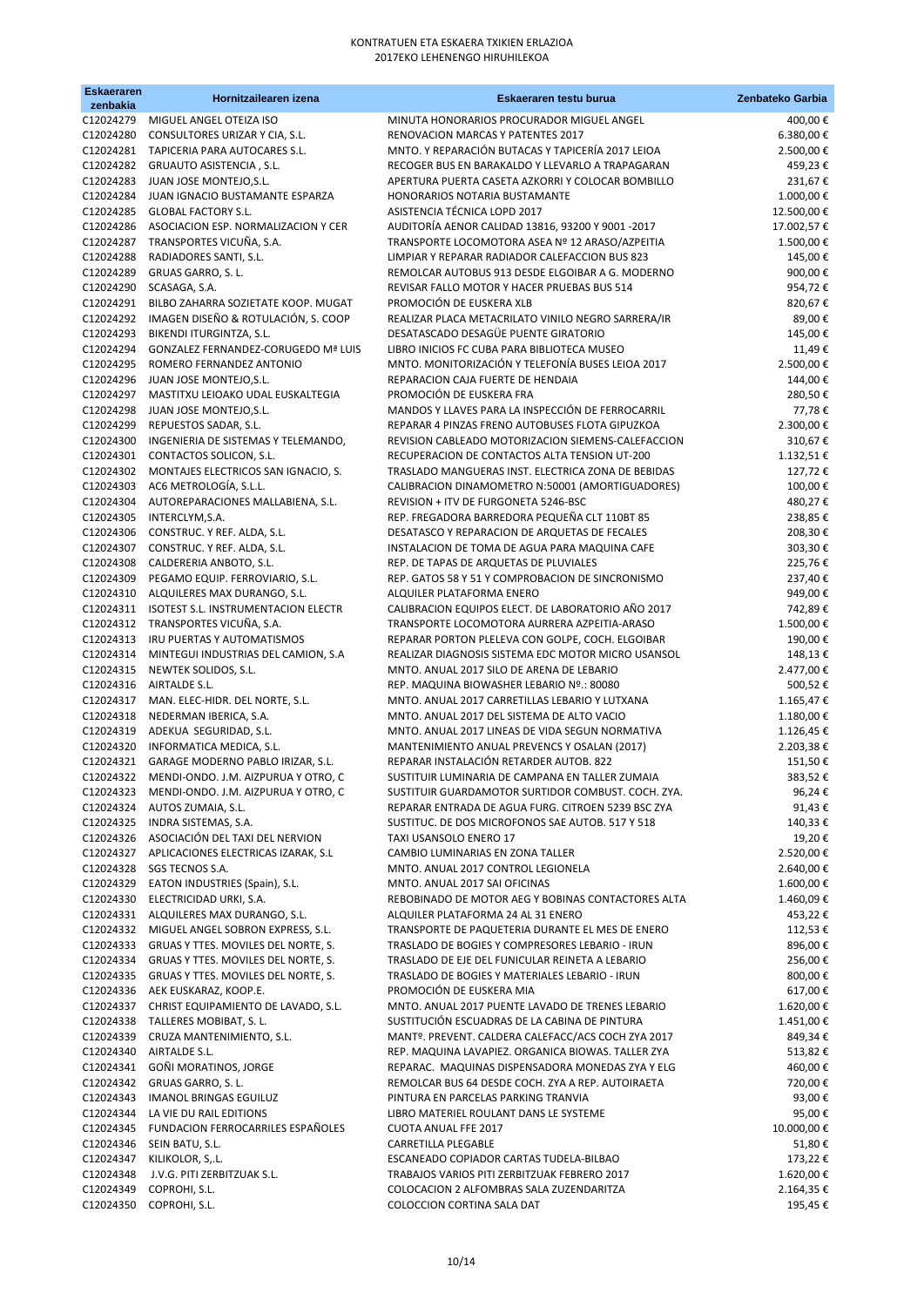| <b>Eskaeraren</b><br>zenbakia | Hornitzailearen izena                                                                        | Eskaeraren testu burua                                                                                 | Zenbateko Garbia       |
|-------------------------------|----------------------------------------------------------------------------------------------|--------------------------------------------------------------------------------------------------------|------------------------|
| C12024279                     | MIGUEL ANGEL OTEIZA ISO                                                                      | MINUTA HONORARIOS PROCURADOR MIGUEL ANGEL                                                              | 400,00€                |
| C12024280                     | CONSULTORES URIZAR Y CIA, S.L.                                                               | RENOVACION MARCAS Y PATENTES 2017                                                                      | 6.380,00€              |
|                               | C12024281 TAPICERIA PARA AUTOCARES S.L.                                                      | MNTO. Y REPARACIÓN BUTACAS Y TAPICERÍA 2017 LEIOA                                                      | 2.500,00€              |
| C12024282<br>C12024283        | GRUAUTO ASISTENCIA, S.L.<br>JUAN JOSE MONTEJO, S.L.                                          | RECOGER BUS EN BARAKALDO Y LLEVARLO A TRAPAGARAN<br>APERTURA PUERTA CASETA AZKORRI Y COLOCAR BOMBILLO  | 459,23€<br>231,67€     |
| C12024284                     | JUAN IGNACIO BUSTAMANTE ESPARZA                                                              | HONORARIOS NOTARIA BUSTAMANTE                                                                          | 1.000,00€              |
| C12024285                     | <b>GLOBAL FACTORY S.L.</b>                                                                   | ASISTENCIA TÉCNICA LOPD 2017                                                                           | 12.500,00€             |
| C12024286                     | ASOCIACION ESP. NORMALIZACION Y CER                                                          | AUDITORÍA AENOR CALIDAD 13816, 93200 Y 9001-2017                                                       | 17.002,57€             |
| C12024287                     | TRANSPORTES VICUÑA, S.A.                                                                     | TRANSPORTE LOCOMOTORA ASEA Nº 12 ARASO/AZPEITIA                                                        | 1.500,00€              |
| C12024288<br>C12024289        | RADIADORES SANTI, S.L.<br>GRUAS GARRO, S. L.                                                 | LIMPIAR Y REPARAR RADIADOR CALEFACCION BUS 823<br>REMOLCAR AUTOBUS 913 DESDE ELGOIBAR A G. MODERNO     | 145,00€<br>900,00€     |
| C12024290                     | SCASAGA, S.A.                                                                                | REVISAR FALLO MOTOR Y HACER PRUEBAS BUS 514                                                            | 954,72€                |
| C12024291                     | BILBO ZAHARRA SOZIETATE KOOP. MUGAT                                                          | PROMOCIÓN DE EUSKERA XLB                                                                               | 820,67€                |
| C12024292                     | IMAGEN DISEÑO & ROTULACIÓN, S. COOP                                                          | REALIZAR PLACA METACRILATO VINILO NEGRO SARRERA/IR                                                     | 89,00€                 |
| C12024293                     | BIKENDI ITURGINTZA, S.L.                                                                     | DESATASCADO DESAGÜE PUENTE GIRATORIO                                                                   | 145,00€                |
| C12024294                     | GONZALEZ FERNANDEZ-CORUGEDO Mª LUIS                                                          | LIBRO INICIOS FC CUBA PARA BIBLIOTECA MUSEO<br>MNTO. MONITORIZACIÓN Y TELEFONÍA BUSES LEIOA 2017       | 11,49€                 |
| C12024295<br>C12024296        | ROMERO FERNANDEZ ANTONIO<br>JUAN JOSE MONTEJO, S.L.                                          | REPARACION CAJA FUERTE DE HENDAIA                                                                      | 2.500,00€<br>144,00€   |
| C12024297                     | MASTITXU LEIOAKO UDAL EUSKALTEGIA                                                            | PROMOCIÓN DE EUSKERA FRA                                                                               | 280,50€                |
| C12024298                     | JUAN JOSE MONTEJO, S.L.                                                                      | MANDOS Y LLAVES PARA LA INSPECCIÓN DE FERROCARRIL                                                      | 77,78€                 |
| C12024299                     | REPUESTOS SADAR, S.L.                                                                        | REPARAR 4 PINZAS FRENO AUTOBUSES FLOTA GIPUZKOA                                                        | 2.300,00€              |
| C12024300                     | INGENIERIA DE SISTEMAS Y TELEMANDO,                                                          | REVISION CABLEADO MOTORIZACION SIEMENS-CALEFACCION                                                     | 310,67€                |
| C12024301<br>C12024302        | CONTACTOS SOLICON, S.L.<br>MONTAJES ELECTRICOS SAN IGNACIO, S.                               | RECUPERACION DE CONTACTOS ALTA TENSION UT-200<br>TRASLADO MANGUERAS INST. ELECTRICA ZONA DE BEBIDAS    | 1.132,51€<br>127,72€   |
| C12024303                     | AC6 METROLOGÍA, S.L.L.                                                                       | CALIBRACION DINAMOMETRO N:50001 (AMORTIGUADORES)                                                       | 100,00€                |
| C12024304                     | AUTOREPARACIONES MALLABIENA, S.L.                                                            | REVISION + ITV DE FURGONETA 5246-BSC                                                                   | 480,27€                |
| C12024305                     | INTERCLYM, S.A.                                                                              | REP. FREGADORA BARREDORA PEQUEÑA CLT 110BT 85                                                          | 238,85€                |
|                               | C12024306 CONSTRUC. Y REF. ALDA, S.L.                                                        | DESATASCO Y REPARACION DE ARQUETAS DE FECALES                                                          | 208,30€                |
| C12024307<br>C12024308        | CONSTRUC. Y REF. ALDA, S.L.                                                                  | INSTALACION DE TOMA DE AGUA PARA MAQUINA CAFE<br>REP. DE TAPAS DE ARQUETAS DE PLUVIALES                | 303,30€<br>225,76€     |
| C12024309                     | CALDERERIA ANBOTO, S.L.<br>PEGAMO EQUIP. FERROVIARIO, S.L.                                   | REP. GATOS 58 Y 51 Y COMPROBACION DE SINCRONISMO                                                       | 237,40€                |
| C12024310                     | ALQUILERES MAX DURANGO, S.L.                                                                 | ALQUILER PLATAFORMA ENERO                                                                              | 949,00€                |
| C12024311                     | ISOTEST S.L. INSTRUMENTACION ELECTR                                                          | CALIBRACION EQUIPOS ELECT. DE LABORATORIO AÑO 2017                                                     | 742,89€                |
|                               | C12024312 TRANSPORTES VICUÑA, S.A.                                                           | TRANSPORTE LOCOMOTORA AURRERA AZPEITIA-ARASO                                                           | 1.500,00€              |
| C12024313<br>C12024314        | IRU PUERTAS Y AUTOMATISMOS<br>MINTEGUI INDUSTRIAS DEL CAMION, S.A                            | REPARAR PORTON PLELEVA CON GOLPE, COCH. ELGOIBAR<br>REALIZAR DIAGNOSIS SISTEMA EDC MOTOR MICRO USANSOL | 190,00€<br>148,13€     |
| C12024315                     | NEWTEK SOLIDOS, S.L.                                                                         | MNTO. ANUAL 2017 SILO DE ARENA DE LEBARIO                                                              | 2.477,00 €             |
|                               | C12024316 AIRTALDE S.L.                                                                      | REP. MAQUINA BIOWASHER LEBARIO Nº.: 80080                                                              | 500,52€                |
| C12024317                     | MAN. ELEC-HIDR. DEL NORTE, S.L.                                                              | MNTO. ANUAL 2017 CARRETILLAS LEBARIO Y LUTXANA                                                         | 1.165,47€              |
| C12024318                     | NEDERMAN IBERICA, S.A.                                                                       | MNTO. ANUAL 2017 DEL SISTEMA DE ALTO VACIO                                                             | 1.180,00€              |
| C12024320                     | C12024319 ADEKUA SEGURIDAD, S.L.<br>INFORMATICA MEDICA, S.L.                                 | MNTO. ANUAL 2017 LINEAS DE VIDA SEGUN NORMATIVA                                                        | 1.126,45€              |
| C12024321                     | GARAGE MODERNO PABLO IRIZAR, S.L.                                                            | MANTENIMIENTO ANUAL PREVENCS Y OSALAN (2017)<br>REPARAR INSTALACIÓN RETARDER AUTOB. 822                | 2.203,38€<br>151,50€   |
| C12024322                     | MENDI-ONDO. J.M. AIZPURUA Y OTRO, C                                                          | SUSTITUIR LUMINARIA DE CAMPANA EN TALLER ZUMAIA                                                        | 383,52€                |
| C12024323                     | MENDI-ONDO. J.M. AIZPURUA Y OTRO, C                                                          | SUSTITUIR GUARDAMOTOR SURTIDOR COMBUST. COCH. ZYA.                                                     | 96,24€                 |
| C12024324                     | AUTOS ZUMAIA, S.L.                                                                           | REPARAR ENTRADA DE AGUA FURG. CITROEN 5239 BSC ZYA                                                     | 91,43€                 |
| C12024325                     | INDRA SISTEMAS, S.A.<br>C12024326 ASOCIACIÓN DEL TAXI DEL NERVION                            | SUSTITUC. DE DOS MICROFONOS SAE AUTOB. 517 Y 518<br>TAXI USANSOLO ENERO 17                             | 140,33€<br>19,20€      |
|                               | C12024327 APLICACIONES ELECTRICAS IZARAK, S.L                                                | CAMBIO LUMINARIAS EN ZONA TALLER                                                                       | 2.520,00€              |
|                               | C12024328 SGS TECNOS S.A.                                                                    | MNTO. ANUAL 2017 CONTROL LEGIONELA                                                                     | 2.640,00€              |
|                               | C12024329 EATON INDUSTRIES (Spain), S.L.                                                     | MNTO. ANUAL 2017 SAI OFICINAS                                                                          | 1.600,00€              |
|                               | C12024330 ELECTRICIDAD URKI, S.A.                                                            | REBOBINADO DE MOTOR AEG Y BOBINAS CONTACTORES ALTA                                                     | 1.460,09€              |
|                               | C12024331 ALQUILERES MAX DURANGO, S.L.                                                       | ALQUILER PLATAFORMA 24 AL 31 ENERO                                                                     | 453,22€                |
|                               | C12024332 MIGUEL ANGEL SOBRON EXPRESS, S.L.<br>C12024333 GRUAS Y TTES. MOVILES DEL NORTE, S. | TRANSPORTE DE PAQUETERIA DURANTE EL MES DE ENERO<br>TRASLADO DE BOGIES Y COMPRESORES LEBARIO - IRUN    | 112,53€<br>896,00€     |
|                               | C12024334 GRUAS Y TTES. MOVILES DEL NORTE, S.                                                | TRASLADO DE EJE DEL FUNICULAR REINETA A LEBARIO                                                        | 256,00€                |
|                               | C12024335 GRUAS Y TTES. MOVILES DEL NORTE, S.                                                | TRASLADO DE BOGIES Y MATERIALES LEBARIO - IRUN                                                         | 800,00€                |
|                               | C12024336 AEK EUSKARAZ, KOOP.E.                                                              | PROMOCIÓN DE EUSKERA MIA                                                                               | 617,00€                |
|                               | C12024337 CHRIST EQUIPAMIENTO DE LAVADO, S.L.<br>C12024338 TALLERES MOBIBAT, S.L.            | MNTO. ANUAL 2017 PUENTE LAVADO DE TRENES LEBARIO<br>SUSTITUCIÓN ESCUADRAS DE LA CABINA DE PINTURA      | 1.620,00€<br>1.451,00€ |
| C12024339                     | CRUZA MANTENIMIENTO, S.L.                                                                    | MANTº. PREVENT. CALDERA CALEFACC/ACS COCH ZYA 2017                                                     | 849,34€                |
| C12024340                     | AIRTALDE S.L.                                                                                | REP. MAQUINA LAVAPIEZ. ORGANICA BIOWAS. TALLER ZYA                                                     | 513,82€                |
| C12024341                     | GOÑI MORATINOS, JORGE                                                                        | REPARAC. MAQUINAS DISPENSADORA MONEDAS ZYA Y ELG                                                       | 460,00€                |
|                               | C12024342 GRUAS GARRO, S. L.                                                                 | REMOLCAR BUS 64 DESDE COCH. ZYA A REP. AUTOIRAETA                                                      | 720,00€                |
| C12024343                     | <b>IMANOL BRINGAS EGUILUZ</b>                                                                | PINTURA EN PARCELAS PARKING TRANVIA                                                                    | 93,00€                 |
| C12024344                     | LA VIE DU RAIL EDITIONS<br>C12024345 FUNDACION FERROCARRILES ESPAÑOLES                       | LIBRO MATERIEL ROULANT DANS LE SYSTEME<br>CUOTA ANUAL FFE 2017                                         | 95,00€<br>10.000,00€   |
| C12024346                     | SEIN BATU, S.L.                                                                              | CARRETILLA PLEGABLE                                                                                    | 51,80€                 |
| C12024347                     | KILIKOLOR, S,.L.                                                                             | ESCANEADO COPIADOR CARTAS TUDELA-BILBAO                                                                | 173,22€                |
| C12024348                     | J.V.G. PITI ZERBITZUAK S.L.                                                                  | TRABAJOS VARIOS PITI ZERBITZUAK FEBRERO 2017                                                           | 1.620,00 €             |
| C12024349                     | COPROHI, S.L.                                                                                | COLOCACION 2 ALFOMBRAS SALA ZUZENDARITZA<br>COLOCCION CORTINA SALA DAT                                 | 2.164,35€              |
|                               | C12024350 COPROHI, S.L.                                                                      |                                                                                                        | 195,45€                |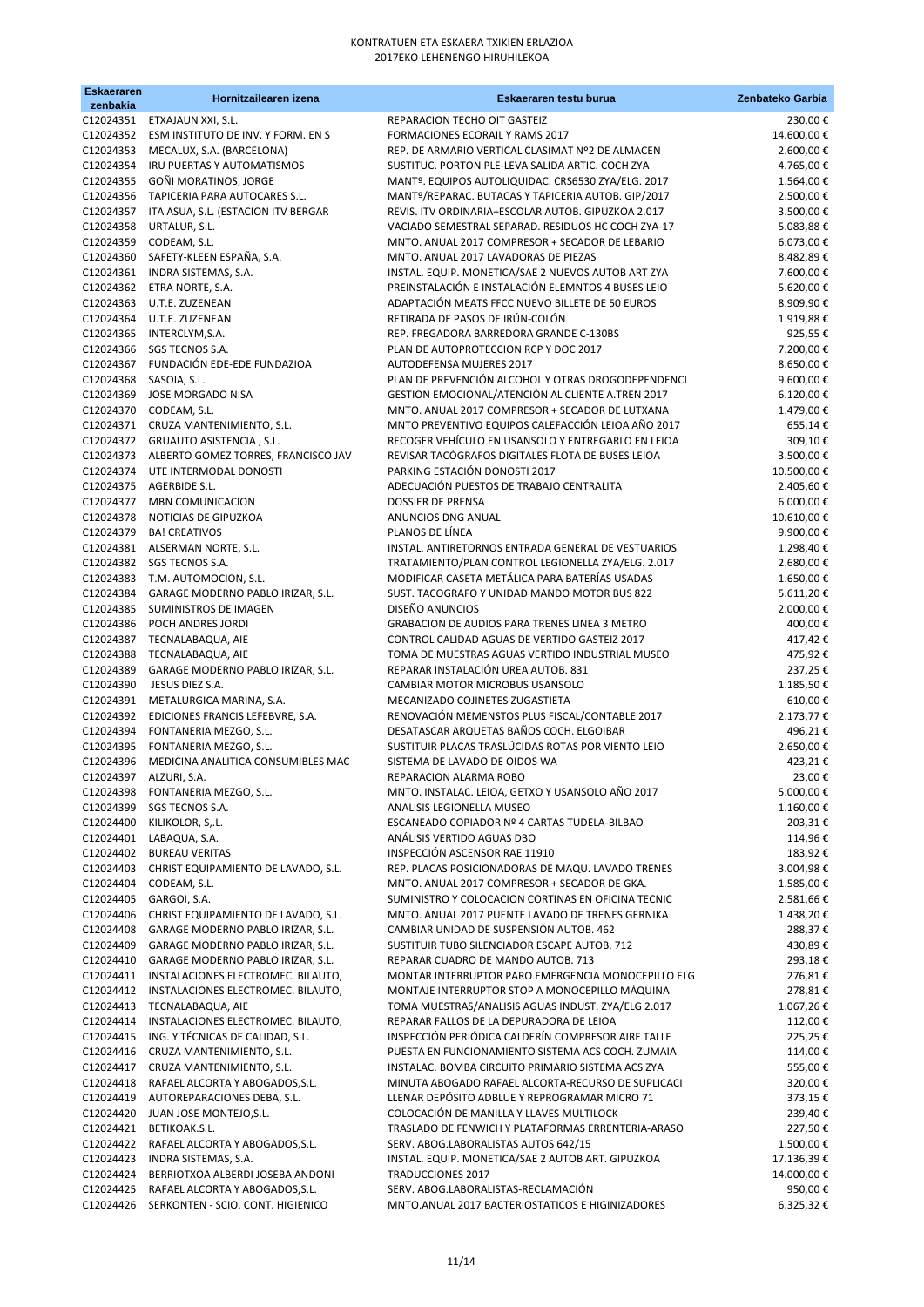| <b>Eskaeraren</b><br>zenbakia | Hornitzailearen izena                                                    | Eskaeraren testu burua                                                                                   | Zenbateko Garbia        |
|-------------------------------|--------------------------------------------------------------------------|----------------------------------------------------------------------------------------------------------|-------------------------|
|                               | C12024351 ETXAJAUN XXI, S.L.                                             | REPARACION TECHO OIT GASTEIZ                                                                             | 230,00€                 |
| C12024352                     | ESM INSTITUTO DE INV. Y FORM. EN S                                       | FORMACIONES ECORAIL Y RAMS 2017                                                                          | 14.600,00€              |
|                               | C12024353 MECALUX, S.A. (BARCELONA)                                      | REP. DE ARMARIO VERTICAL CLASIMAT Nº2 DE ALMACEN                                                         | 2.600,00€               |
| C12024354                     | IRU PUERTAS Y AUTOMATISMOS                                               | SUSTITUC. PORTON PLE-LEVA SALIDA ARTIC. COCH ZYA                                                         | 4.765,00€               |
| C12024355                     | GOÑI MORATINOS, JORGE                                                    | MANTº. EQUIPOS AUTOLIQUIDAC. CRS6530 ZYA/ELG. 2017                                                       | 1.564,00€               |
|                               | C12024356 TAPICERIA PARA AUTOCARES S.L.                                  | MANTº/REPARAC. BUTACAS Y TAPICERIA AUTOB. GIP/2017                                                       | 2.500,00€               |
|                               | C12024357 ITA ASUA, S.L. (ESTACION ITV BERGAR<br>C12024358 URTALUR, S.L. | REVIS. ITV ORDINARIA+ESCOLAR AUTOB. GIPUZKOA 2.017<br>VACIADO SEMESTRAL SEPARAD. RESIDUOS HC COCH ZYA-17 | 3.500,00€<br>5.083,88€  |
|                               | C12024359 CODEAM, S.L.                                                   | MNTO. ANUAL 2017 COMPRESOR + SECADOR DE LEBARIO                                                          | 6.073,00€               |
|                               | C12024360 SAFETY-KLEEN ESPAÑA, S.A.                                      | MNTO. ANUAL 2017 LAVADORAS DE PIEZAS                                                                     | 8.482,89€               |
|                               | C12024361 INDRA SISTEMAS, S.A.                                           | INSTAL. EQUIP. MONETICA/SAE 2 NUEVOS AUTOB ART ZYA                                                       | 7.600,00€               |
|                               | C12024362 ETRA NORTE, S.A.                                               | PREINSTALACIÓN E INSTALACIÓN ELEMNTOS 4 BUSES LEIO                                                       | 5.620,00€               |
| C12024363                     | U.T.E. ZUZENEAN                                                          | ADAPTACIÓN MEATS FFCC NUEVO BILLETE DE 50 EUROS                                                          | 8.909,90€               |
|                               | C12024364 U.T.E. ZUZENEAN                                                | RETIRADA DE PASOS DE IRÚN-COLÓN                                                                          | 1.919,88€               |
|                               | C12024365 INTERCLYM, S.A.                                                | REP. FREGADORA BARREDORA GRANDE C-130BS                                                                  | 925,55€                 |
| C12024366                     | SGS TECNOS S.A.<br>C12024367 FUNDACIÓN EDE-EDE FUNDAZIOA                 | PLAN DE AUTOPROTECCION RCP Y DOC 2017<br>AUTODEFENSA MUJERES 2017                                        | 7.200,00€<br>8.650,00€  |
| C12024368                     | SASOIA, S.L.                                                             | PLAN DE PREVENCIÓN ALCOHOL Y OTRAS DROGODEPENDENCI                                                       | 9.600,00€               |
| C12024369                     | JOSE MORGADO NISA                                                        | GESTION EMOCIONAL/ATENCIÓN AL CLIENTE A.TREN 2017                                                        | 6.120,00€               |
|                               | C12024370 CODEAM, S.L.                                                   | MNTO. ANUAL 2017 COMPRESOR + SECADOR DE LUTXANA                                                          | 1.479,00€               |
|                               | C12024371 CRUZA MANTENIMIENTO, S.L.                                      | MNTO PREVENTIVO EQUIPOS CALEFACCIÓN LEIOA AÑO 2017                                                       | 655,14€                 |
|                               | C12024372 GRUAUTO ASISTENCIA, S.L.                                       | RECOGER VEHÍCULO EN USANSOLO Y ENTREGARLO EN LEIOA                                                       | 309,10€                 |
|                               | C12024373 ALBERTO GOMEZ TORRES, FRANCISCO JAV                            | REVISAR TACÓGRAFOS DIGITALES FLOTA DE BUSES LEIOA                                                        | 3.500,00€               |
|                               | C12024374 UTE INTERMODAL DONOSTI                                         | PARKING ESTACIÓN DONOSTI 2017                                                                            | 10.500,00€              |
|                               | C12024375 AGERBIDE S.L.                                                  | ADECUACIÓN PUESTOS DE TRABAJO CENTRALITA                                                                 | 2.405,60€               |
| C12024377<br>C12024378        | <b>MBN COMUNICACION</b><br>NOTICIAS DE GIPUZKOA                          | <b>DOSSIER DE PRENSA</b><br>ANUNCIOS DNG ANUAL                                                           | 6.000,00€<br>10.610,00€ |
|                               | C12024379 BA! CREATIVOS                                                  | PLANOS DE LÍNEA                                                                                          | 9.900,00€               |
|                               | C12024381 ALSERMAN NORTE, S.L.                                           | INSTAL. ANTIRETORNOS ENTRADA GENERAL DE VESTUARIOS                                                       | 1.298,40€               |
|                               | C12024382 SGS TECNOS S.A.                                                | TRATAMIENTO/PLAN CONTROL LEGIONELLA ZYA/ELG. 2.017                                                       | 2.680,00€               |
|                               | C12024383 T.M. AUTOMOCION, S.L.                                          | MODIFICAR CASETA METÁLICA PARA BATERÍAS USADAS                                                           | 1.650,00€               |
|                               | C12024384 GARAGE MODERNO PABLO IRIZAR, S.L.                              | SUST. TACOGRAFO Y UNIDAD MANDO MOTOR BUS 822                                                             | 5.611,20€               |
| C12024385                     | SUMINISTROS DE IMAGEN                                                    | DISEÑO ANUNCIOS                                                                                          | 2.000,00€               |
| C12024386                     | POCH ANDRES JORDI                                                        | GRABACION DE AUDIOS PARA TRENES LINEA 3 METRO                                                            | 400,00€                 |
|                               | C12024387 TECNALABAQUA, AIE                                              | CONTROL CALIDAD AGUAS DE VERTIDO GASTEIZ 2017<br>TOMA DE MUESTRAS AGUAS VERTIDO INDUSTRIAL MUSEO         | 417,42€<br>475,92€      |
| C12024388<br>C12024389        | TECNALABAQUA, AIE<br>GARAGE MODERNO PABLO IRIZAR, S.L.                   | REPARAR INSTALACIÓN UREA AUTOB. 831                                                                      | 237,25€                 |
| C12024390                     | JESUS DIEZ S.A.                                                          | CAMBIAR MOTOR MICROBUS USANSOLO                                                                          | 1.185,50€               |
| C12024391                     | METALURGICA MARINA, S.A.                                                 | MECANIZADO COJINETES ZUGASTIETA                                                                          | 610,00€                 |
| C12024392                     | EDICIONES FRANCIS LEFEBVRE, S.A.                                         | RENOVACIÓN MEMENSTOS PLUS FISCAL/CONTABLE 2017                                                           | 2.173,77€               |
| C12024394                     | FONTANERIA MEZGO, S.L.                                                   | DESATASCAR ARQUETAS BAÑOS COCH. ELGOIBAR                                                                 | 496,21€                 |
| C12024395                     | FONTANERIA MEZGO, S.L.                                                   | SUSTITUIR PLACAS TRASLÚCIDAS ROTAS POR VIENTO LEIO                                                       | 2.650,00€               |
| C12024396                     | MEDICINA ANALITICA CONSUMIBLES MAC                                       | SISTEMA DE LAVADO DE OIDOS WA                                                                            | 423,21€                 |
| C12024397                     | ALZURI, S.A.                                                             | REPARACION ALARMA ROBO                                                                                   | 23,00€                  |
| C12024398<br>C12024399        | FONTANERIA MEZGO, S.L.<br>SGS TECNOS S.A.                                | MNTO. INSTALAC. LEIOA, GETXO Y USANSOLO AÑO 2017<br>ANALISIS LEGIONELLA MUSEO                            | 5.000,00€<br>1.160,00€  |
| C12024400                     | KILIKOLOR, S, .L.                                                        | ESCANEADO COPIADOR Nº 4 CARTAS TUDELA-BILBAO                                                             | 203,31€                 |
| C12024401                     | LABAQUA, S.A.                                                            | ANÁLISIS VERTIDO AGUAS DBO                                                                               | 114,96€                 |
| C12024402                     | <b>BUREAU VERITAS</b>                                                    | INSPECCIÓN ASCENSOR RAE 11910                                                                            | 183,92€                 |
| C12024403                     | CHRIST EQUIPAMIENTO DE LAVADO, S.L.                                      | REP. PLACAS POSICIONADORAS DE MAQU. LAVADO TRENES                                                        | 3.004,98€               |
| C12024404                     | CODEAM, S.L.                                                             | MNTO. ANUAL 2017 COMPRESOR + SECADOR DE GKA.                                                             | 1.585,00€               |
| C12024405                     | GARGOI, S.A.                                                             | SUMINISTRO Y COLOCACION CORTINAS EN OFICINA TECNIC                                                       | 2.581,66€               |
| C12024406                     | CHRIST EQUIPAMIENTO DE LAVADO, S.L.                                      | MNTO. ANUAL 2017 PUENTE LAVADO DE TRENES GERNIKA                                                         | 1.438,20€               |
| C12024408<br>C12024409        | GARAGE MODERNO PABLO IRIZAR, S.L.<br>GARAGE MODERNO PABLO IRIZAR, S.L.   | CAMBIAR UNIDAD DE SUSPENSIÓN AUTOB. 462<br>SUSTITUIR TUBO SILENCIADOR ESCAPE AUTOB. 712                  | 288,37€<br>430,89€      |
| C12024410                     | GARAGE MODERNO PABLO IRIZAR, S.L.                                        | REPARAR CUADRO DE MANDO AUTOB. 713                                                                       | 293,18€                 |
| C12024411                     | INSTALACIONES ELECTROMEC. BILAUTO,                                       | MONTAR INTERRUPTOR PARO EMERGENCIA MONOCEPILLO ELG                                                       | 276,81€                 |
| C12024412                     | INSTALACIONES ELECTROMEC. BILAUTO,                                       | MONTAJE INTERRUPTOR STOP A MONOCEPILLO MÁQUINA                                                           | 278,81€                 |
| C12024413                     | TECNALABAQUA, AIE                                                        | TOMA MUESTRAS/ANALISIS AGUAS INDUST. ZYA/ELG 2.017                                                       | 1.067,26€               |
| C12024414                     | INSTALACIONES ELECTROMEC. BILAUTO,                                       | REPARAR FALLOS DE LA DEPURADORA DE LEIOA                                                                 | 112,00€                 |
| C12024415                     | ING. Y TÉCNICAS DE CALIDAD, S.L.                                         | INSPECCIÓN PERIÓDICA CALDERÍN COMPRESOR AIRE TALLE                                                       | 225,25€                 |
|                               | C12024416 CRUZA MANTENIMIENTO, S.L.                                      | PUESTA EN FUNCIONAMIENTO SISTEMA ACS COCH. ZUMAIA                                                        | 114,00€                 |
| C12024418                     | C12024417 CRUZA MANTENIMIENTO, S.L.<br>RAFAEL ALCORTA Y ABOGADOS, S.L.   | INSTALAC. BOMBA CIRCUITO PRIMARIO SISTEMA ACS ZYA<br>MINUTA ABOGADO RAFAEL ALCORTA-RECURSO DE SUPLICACI  | 555,00€<br>320,00€      |
| C12024419                     | AUTOREPARACIONES DEBA, S.L.                                              | LLENAR DEPÓSITO ADBLUE Y REPROGRAMAR MICRO 71                                                            | 373,15€                 |
| C12024420                     | JUAN JOSE MONTEJO, S.L.                                                  | COLOCACIÓN DE MANILLA Y LLAVES MULTILOCK                                                                 | 239,40€                 |
| C12024421                     | BETIKOAK.S.L.                                                            | TRASLADO DE FENWICH Y PLATAFORMAS ERRENTERIA-ARASO                                                       | 227,50€                 |
| C12024422                     | RAFAEL ALCORTA Y ABOGADOS, S.L.                                          | SERV. ABOG.LABORALISTAS AUTOS 642/15                                                                     | 1.500,00€               |
| C12024423                     | INDRA SISTEMAS, S.A.                                                     | INSTAL. EQUIP. MONETICA/SAE 2 AUTOB ART. GIPUZKOA                                                        | 17.136,39€              |
| C12024424                     | BERRIOTXOA ALBERDI JOSEBA ANDONI                                         | <b>TRADUCCIONES 2017</b>                                                                                 | 14.000,00 €             |
| C12024425                     | RAFAEL ALCORTA Y ABOGADOS, S.L.                                          | SERV. ABOG.LABORALISTAS-RECLAMACIÓN                                                                      | 950,00€                 |
|                               | C12024426 SERKONTEN - SCIO. CONT. HIGIENICO                              | MNTO.ANUAL 2017 BACTERIOSTATICOS E HIGINIZADORES                                                         | 6.325,32 €              |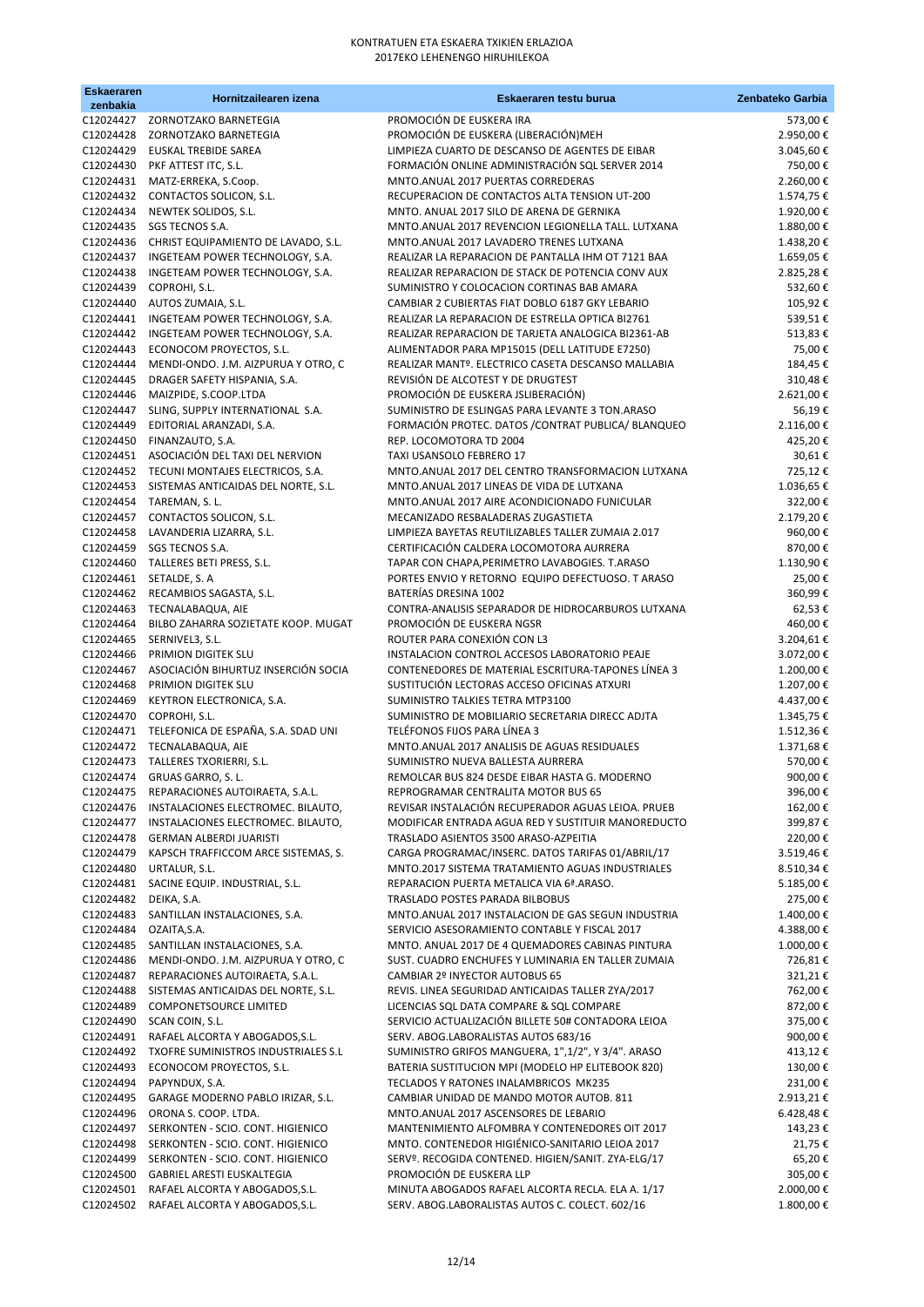| <b>Eskaeraren</b><br>zenbakia | Hornitzailearen izena                                                     | Eskaeraren testu burua                                                                               | Zenbateko Garbia       |
|-------------------------------|---------------------------------------------------------------------------|------------------------------------------------------------------------------------------------------|------------------------|
|                               | C12024427 ZORNOTZAKO BARNETEGIA                                           | PROMOCIÓN DE EUSKERA IRA                                                                             | 573,00€                |
|                               | C12024428 ZORNOTZAKO BARNETEGIA                                           | PROMOCIÓN DE EUSKERA (LIBERACIÓN) MEH                                                                | 2.950,00€              |
|                               | C12024429 EUSKAL TREBIDE SAREA                                            | LIMPIEZA CUARTO DE DESCANSO DE AGENTES DE EIBAR                                                      | 3.045,60€              |
|                               | C12024430 PKF ATTEST ITC, S.L.                                            | FORMACIÓN ONLINE ADMINISTRACIÓN SQL SERVER 2014                                                      | 750,00€                |
|                               | C12024431 MATZ-ERREKA, S.Coop.                                            | MNTO.ANUAL 2017 PUERTAS CORREDERAS                                                                   | 2.260,00€              |
|                               | C12024432 CONTACTOS SOLICON, S.L.                                         | RECUPERACION DE CONTACTOS ALTA TENSION UT-200                                                        | 1.574,75€              |
|                               | C12024434 NEWTEK SOLIDOS, S.L.<br>C12024435 SGS TECNOS S.A.               | MNTO. ANUAL 2017 SILO DE ARENA DE GERNIKA<br>MNTO.ANUAL 2017 REVENCION LEGIONELLA TALL. LUTXANA      | 1.920,00€<br>1.880,00€ |
|                               | C12024436 CHRIST EQUIPAMIENTO DE LAVADO, S.L.                             | MNTO.ANUAL 2017 LAVADERO TRENES LUTXANA                                                              | 1.438,20€              |
|                               | C12024437 INGETEAM POWER TECHNOLOGY, S.A.                                 | REALIZAR LA REPARACION DE PANTALLA IHM OT 7121 BAA                                                   | 1.659,05€              |
| C12024438                     | INGETEAM POWER TECHNOLOGY, S.A.                                           | REALIZAR REPARACION DE STACK DE POTENCIA CONV AUX                                                    | 2.825,28€              |
| C12024439                     | COPROHI, S.L.                                                             | SUMINISTRO Y COLOCACION CORTINAS BAB AMARA                                                           | 532,60€                |
| C12024440                     | AUTOS ZUMAIA, S.L.                                                        | CAMBIAR 2 CUBIERTAS FIAT DOBLO 6187 GKY LEBARIO                                                      | 105,92€                |
| C12024441                     | INGETEAM POWER TECHNOLOGY, S.A.                                           | REALIZAR LA REPARACION DE ESTRELLA OPTICA BI2761                                                     | 539,51€                |
| C12024442                     | INGETEAM POWER TECHNOLOGY, S.A.                                           | REALIZAR REPARACION DE TARJETA ANALOGICA BI2361-AB                                                   | 513,83€                |
| C12024443<br>C12024444        | ECONOCOM PROYECTOS, S.L.<br>MENDI-ONDO. J.M. AIZPURUA Y OTRO, C           | ALIMENTADOR PARA MP15015 (DELL LATITUDE E7250)<br>REALIZAR MANTº. ELECTRICO CASETA DESCANSO MALLABIA | 75,00€<br>184,45€      |
| C12024445                     | DRAGER SAFETY HISPANIA, S.A.                                              | REVISIÓN DE ALCOTEST Y DE DRUGTEST                                                                   | 310,48€                |
| C12024446                     | MAIZPIDE, S.COOP.LTDA                                                     | PROMOCIÓN DE EUSKERA JSLIBERACIÓN)                                                                   | 2.621,00€              |
| C12024447                     | SLING, SUPPLY INTERNATIONAL S.A.                                          | SUMINISTRO DE ESLINGAS PARA LEVANTE 3 TON.ARASO                                                      | 56,19€                 |
| C12024449                     | EDITORIAL ARANZADI, S.A.                                                  | FORMACIÓN PROTEC. DATOS / CONTRAT PUBLICA/ BLANQUEO                                                  | 2.116,00€              |
| C12024450                     | FINANZAUTO, S.A.                                                          | REP. LOCOMOTORA TD 2004                                                                              | 425,20€                |
|                               | C12024451 ASOCIACIÓN DEL TAXI DEL NERVION                                 | TAXI USANSOLO FEBRERO 17                                                                             | 30,61€                 |
|                               | C12024452 TECUNI MONTAJES ELECTRICOS, S.A.                                | MNTO.ANUAL 2017 DEL CENTRO TRANSFORMACION LUTXANA                                                    | 725,12€                |
|                               | C12024453 SISTEMAS ANTICAIDAS DEL NORTE, S.L.<br>C12024454 TAREMAN, S. L. | MNTO.ANUAL 2017 LINEAS DE VIDA DE LUTXANA<br>MNTO.ANUAL 2017 AIRE ACONDICIONADO FUNICULAR            | 1.036,65€<br>322,00€   |
|                               | C12024457 CONTACTOS SOLICON, S.L.                                         | MECANIZADO RESBALADERAS ZUGASTIETA                                                                   | 2.179,20€              |
|                               | C12024458 LAVANDERIA LIZARRA, S.L.                                        | LIMPIEZA BAYETAS REUTILIZABLES TALLER ZUMAIA 2.017                                                   | 960,00€                |
|                               | C12024459 SGS TECNOS S.A.                                                 | CERTIFICACIÓN CALDERA LOCOMOTORA AURRERA                                                             | 870,00€                |
|                               | C12024460 TALLERES BETI PRESS, S.L.                                       | TAPAR CON CHAPA, PERIMETRO LAVABOGIES. T.ARASO                                                       | 1.130,90€              |
|                               | C12024461 SETALDE, S. A                                                   | PORTES ENVIO Y RETORNO EQUIPO DEFECTUOSO. T ARASO                                                    | 25,00€                 |
|                               | C12024462 RECAMBIOS SAGASTA, S.L.                                         | BATERÍAS DRESINA 1002                                                                                | 360,99€                |
|                               | C12024463 TECNALABAQUA, AIE                                               | CONTRA-ANALISIS SEPARADOR DE HIDROCARBUROS LUTXANA                                                   | 62,53€                 |
| C12024464<br>C12024465        | BILBO ZAHARRA SOZIETATE KOOP. MUGAT<br>SERNIVEL3, S.L.                    | PROMOCIÓN DE EUSKERA NGSR<br>ROUTER PARA CONEXIÓN CON L3                                             | 460,00€<br>3.204,61€   |
| C12024466                     | PRIMION DIGITEK SLU                                                       | INSTALACION CONTROL ACCESOS LABORATORIO PEAJE                                                        | 3.072,00€              |
| C12024467                     | ASOCIACIÓN BIHURTUZ INSERCIÓN SOCIA                                       | CONTENEDORES DE MATERIAL ESCRITURA-TAPONES LÍNEA 3                                                   | 1.200,00€              |
| C12024468                     | PRIMION DIGITEK SLU                                                       | SUSTITUCIÓN LECTORAS ACCESO OFICINAS ATXURI                                                          | 1.207,00€              |
| C12024469                     | KEYTRON ELECTRONICA, S.A.                                                 | SUMINISTRO TALKIES TETRA MTP3100                                                                     | 4.437,00€              |
|                               | C12024470 COPROHI, S.L.                                                   | SUMINISTRO DE MOBILIARIO SECRETARIA DIRECC ADJTA                                                     | 1.345,75€              |
|                               | C12024471 TELEFONICA DE ESPAÑA, S.A. SDAD UNI                             | TELÉFONOS FIJOS PARA LÍNEA 3                                                                         | 1.512,36€              |
|                               | C12024472 TECNALABAQUA, AIE                                               | MNTO.ANUAL 2017 ANALISIS DE AGUAS RESIDUALES                                                         | 1.371,68€              |
| C12024473<br>C12024474        | TALLERES TXORIERRI, S.L.<br>GRUAS GARRO, S. L.                            | SUMINISTRO NUEVA BALLESTA AURRERA<br>REMOLCAR BUS 824 DESDE EIBAR HASTA G. MODERNO                   | 570,00€<br>900,00€     |
| C12024475                     | REPARACIONES AUTOIRAETA, S.A.L.                                           | REPROGRAMAR CENTRALITA MOTOR BUS 65                                                                  | 396,00€                |
| C12024476                     | INSTALACIONES ELECTROMEC. BILAUTO,                                        | REVISAR INSTALACIÓN RECUPERADOR AGUAS LEIOA. PRUEB                                                   | 162,00€                |
| C12024477                     | INSTALACIONES ELECTROMEC. BILAUTO,                                        | MODIFICAR ENTRADA AGUA RED Y SUSTITUIR MANOREDUCTO                                                   | 399,87€                |
| C12024478                     | <b>GERMAN ALBERDI JUARISTI</b>                                            | TRASLADO ASIENTOS 3500 ARASO-AZPEITIA                                                                | 220,00€                |
| C12024479                     | KAPSCH TRAFFICCOM ARCE SISTEMAS, S.                                       | CARGA PROGRAMAC/INSERC. DATOS TARIFAS 01/ABRIL/17                                                    | 3.519,46€              |
| C12024480                     | URTALUR, S.L.                                                             | MNTO.2017 SISTEMA TRATAMIENTO AGUAS INDUSTRIALES                                                     | 8.510,34€              |
| C12024481                     | SACINE EQUIP. INDUSTRIAL, S.L.                                            | REPARACION PUERTA METALICA VIA 6ª ARASO.                                                             | 5.185,00€              |
| C12024482<br>C12024483        | DEIKA, S.A.<br>SANTILLAN INSTALACIONES, S.A.                              | TRASLADO POSTES PARADA BILBOBUS<br>MNTO.ANUAL 2017 INSTALACION DE GAS SEGUN INDUSTRIA                | 275,00€<br>1.400,00€   |
| C12024484                     | OZAITA, S.A.                                                              | SERVICIO ASESORAMIENTO CONTABLE Y FISCAL 2017                                                        | 4.388,00€              |
| C12024485                     | SANTILLAN INSTALACIONES, S.A.                                             | MNTO. ANUAL 2017 DE 4 QUEMADORES CABINAS PINTURA                                                     | 1.000,00€              |
| C12024486                     | MENDI-ONDO. J.M. AIZPURUA Y OTRO, C                                       | SUST. CUADRO ENCHUFES Y LUMINARIA EN TALLER ZUMAIA                                                   | 726,81€                |
| C12024487                     | REPARACIONES AUTOIRAETA, S.A.L.                                           | CAMBIAR 2º INYECTOR AUTOBUS 65                                                                       | 321,21€                |
| C12024488                     | SISTEMAS ANTICAIDAS DEL NORTE, S.L.                                       | REVIS. LINEA SEGURIDAD ANTICAIDAS TALLER ZYA/2017                                                    | 762,00€                |
| C12024489                     | <b>COMPONETSOURCE LIMITED</b>                                             | LICENCIAS SQL DATA COMPARE & SQL COMPARE                                                             | 872,00€                |
| C12024490                     | SCAN COIN, S.L.                                                           | SERVICIO ACTUALIZACIÓN BILLETE 50# CONTADORA LEIOA                                                   | 375,00€                |
| C12024491<br>C12024492        | RAFAEL ALCORTA Y ABOGADOS, S.L.<br>TXOFRE SUMINISTROS INDUSTRIALES S.L    | SERV. ABOG.LABORALISTAS AUTOS 683/16<br>SUMINISTRO GRIFOS MANGUERA, 1",1/2", Y 3/4". ARASO           | 900,00€<br>413,12€     |
| C12024493                     | ECONOCOM PROYECTOS, S.L.                                                  | BATERIA SUSTITUCION MPI (MODELO HP ELITEBOOK 820)                                                    | 130,00€                |
| C12024494                     | PAPYNDUX, S.A.                                                            | TECLADOS Y RATONES INALAMBRICOS MK235                                                                | 231,00€                |
| C12024495                     | GARAGE MODERNO PABLO IRIZAR, S.L.                                         | CAMBIAR UNIDAD DE MANDO MOTOR AUTOB. 811                                                             | 2.913,21€              |
| C12024496                     | ORONA S. COOP. LTDA.                                                      | MNTO.ANUAL 2017 ASCENSORES DE LEBARIO                                                                | 6.428,48€              |
| C12024497                     | SERKONTEN - SCIO. CONT. HIGIENICO                                         | MANTENIMIENTO ALFOMBRA Y CONTENEDORES OIT 2017                                                       | 143,23€                |
| C12024498                     | SERKONTEN - SCIO. CONT. HIGIENICO                                         | MNTO. CONTENEDOR HIGIÉNICO-SANITARIO LEIOA 2017                                                      | 21,75€                 |
| C12024499<br>C12024500        | SERKONTEN - SCIO. CONT. HIGIENICO<br>GABRIEL ARESTI EUSKALTEGIA           | SERVº. RECOGIDA CONTENED. HIGIEN/SANIT. ZYA-ELG/17<br>PROMOCIÓN DE EUSKERA LLP                       | 65,20€<br>305,00€      |
| C12024501                     | RAFAEL ALCORTA Y ABOGADOS, S.L.                                           | MINUTA ABOGADOS RAFAEL ALCORTA RECLA. ELA A. 1/17                                                    | 2.000,00 €             |
| C12024502                     | RAFAEL ALCORTA Y ABOGADOS, S.L.                                           | SERV. ABOG.LABORALISTAS AUTOS C. COLECT. 602/16                                                      | 1.800,00€              |
|                               |                                                                           |                                                                                                      |                        |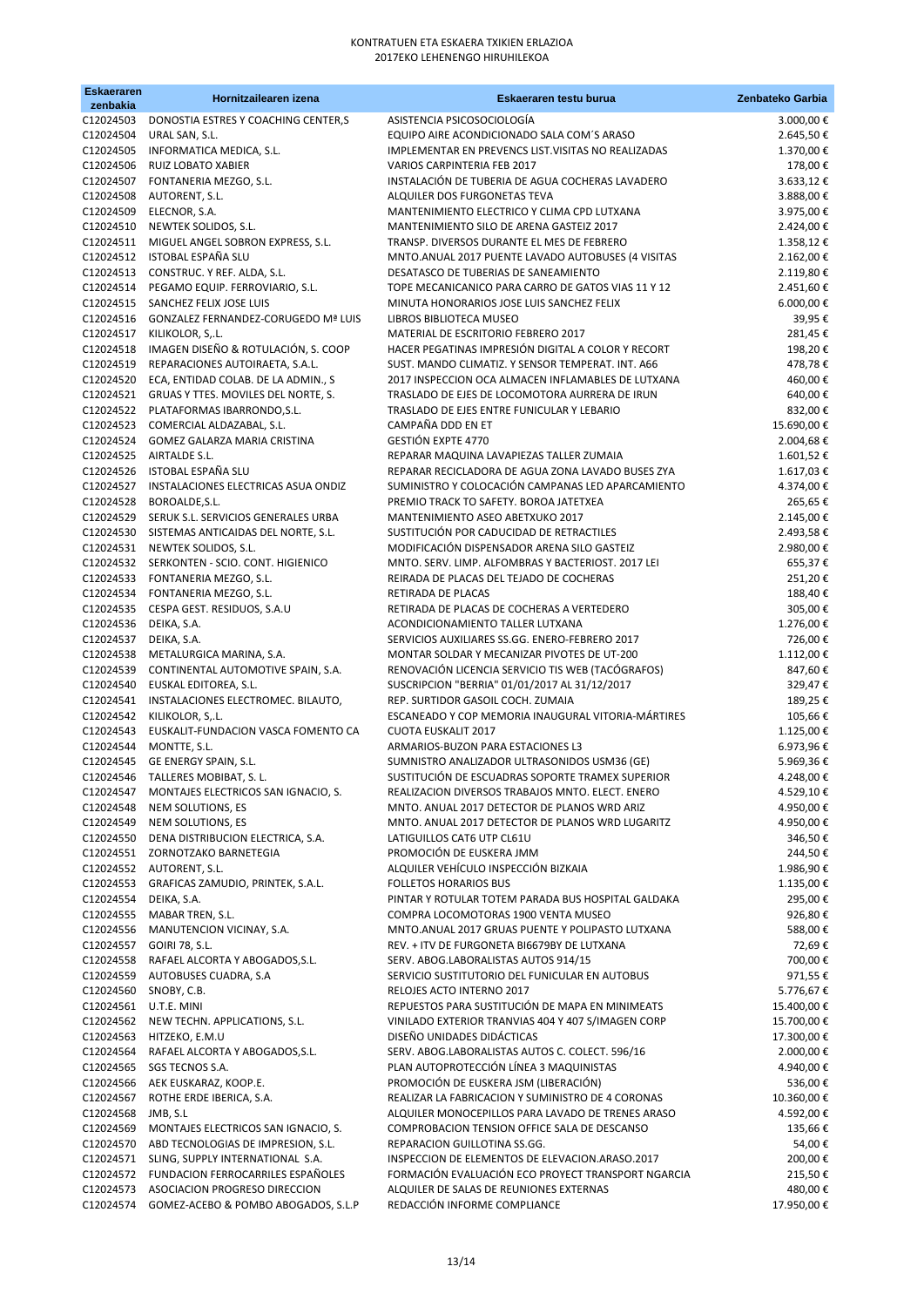| <b>Eskaeraren</b><br>zenbakia | Hornitzailearen izena                                                                  | Eskaeraren testu burua                                                                                  | Zenbateko Garbia         |
|-------------------------------|----------------------------------------------------------------------------------------|---------------------------------------------------------------------------------------------------------|--------------------------|
| C12024503                     | DONOSTIA ESTRES Y COACHING CENTER,S                                                    | ASISTENCIA PSICOSOCIOLOGÍA                                                                              | 3.000,00€                |
| C12024504                     | URAL SAN, S.L.                                                                         | EQUIPO AIRE ACONDICIONADO SALA COM'S ARASO                                                              | 2.645,50€                |
| C12024505<br>C12024506        | INFORMATICA MEDICA, S.L.<br><b>RUIZ LOBATO XABIER</b>                                  | IMPLEMENTAR EN PREVENCS LIST. VISITAS NO REALIZADAS<br><b>VARIOS CARPINTERIA FEB 2017</b>               | 1.370,00€<br>178,00€     |
| C12024507                     | FONTANERIA MEZGO, S.L.                                                                 | INSTALACIÓN DE TUBERIA DE AGUA COCHERAS LAVADERO                                                        | 3.633,12€                |
| C12024508                     | AUTORENT, S.L.                                                                         | ALQUILER DOS FURGONETAS TEVA                                                                            | 3.888,00 €               |
| C12024509                     | ELECNOR, S.A.                                                                          | MANTENIMIENTO ELECTRICO Y CLIMA CPD LUTXANA                                                             | 3.975,00€                |
| C12024510                     | NEWTEK SOLIDOS, S.L.                                                                   | MANTENIMIENTO SILO DE ARENA GASTEIZ 2017                                                                | 2.424,00 €               |
|                               | C12024511 MIGUEL ANGEL SOBRON EXPRESS, S.L.                                            | TRANSP. DIVERSOS DURANTE EL MES DE FEBRERO                                                              | 1.358,12€                |
|                               | C12024512 ISTOBAL ESPAÑA SLU<br>C12024513 CONSTRUC. Y REF. ALDA, S.L.                  | MNTO.ANUAL 2017 PUENTE LAVADO AUTOBUSES (4 VISITAS<br>DESATASCO DE TUBERIAS DE SANEAMIENTO              | 2.162,00€<br>2.119,80€   |
|                               | C12024514 PEGAMO EQUIP. FERROVIARIO, S.L.                                              | TOPE MECANICANICO PARA CARRO DE GATOS VIAS 11 Y 12                                                      | 2.451,60€                |
| C12024515                     | SANCHEZ FELIX JOSE LUIS                                                                | MINUTA HONORARIOS JOSE LUIS SANCHEZ FELIX                                                               | 6.000,00€                |
|                               | C12024516 GONZALEZ FERNANDEZ-CORUGEDO Mª LUIS                                          | LIBROS BIBLIOTECA MUSEO                                                                                 | 39,95€                   |
| C12024517                     | KILIKOLOR, S,.L.                                                                       | MATERIAL DE ESCRITORIO FEBRERO 2017                                                                     | 281,45€                  |
| C12024518<br>C12024519        | IMAGEN DISEÑO & ROTULACIÓN, S. COOP<br>REPARACIONES AUTOIRAETA, S.A.L.                 | HACER PEGATINAS IMPRESIÓN DIGITAL A COLOR Y RECORT<br>SUST. MANDO CLIMATIZ. Y SENSOR TEMPERAT. INT. A66 | 198,20€<br>478,78€       |
| C12024520                     | ECA, ENTIDAD COLAB. DE LA ADMIN., S                                                    | 2017 INSPECCION OCA ALMACEN INFLAMABLES DE LUTXANA                                                      | 460,00€                  |
|                               | C12024521 GRUAS Y TTES. MOVILES DEL NORTE, S.                                          | TRASLADO DE EJES DE LOCOMOTORA AURRERA DE IRUN                                                          | 640,00€                  |
|                               | C12024522 PLATAFORMAS IBARRONDO, S.L.                                                  | TRASLADO DE EJES ENTRE FUNICULAR Y LEBARIO                                                              | 832,00€                  |
|                               | C12024523 COMERCIAL ALDAZABAL, S.L.                                                    | CAMPAÑA DDD EN ET                                                                                       | 15.690,00€               |
|                               | C12024524 GOMEZ GALARZA MARIA CRISTINA<br>C12024525 AIRTALDE S.L.                      | GESTIÓN EXPTE 4770<br>REPARAR MAQUINA LAVAPIEZAS TALLER ZUMAIA                                          | 2.004,68€<br>1.601,52€   |
|                               | C12024526 ISTOBAL ESPAÑA SLU                                                           | REPARAR RECICLADORA DE AGUA ZONA LAVADO BUSES ZYA                                                       | 1.617,03€                |
|                               | C12024527 INSTALACIONES ELECTRICAS ASUA ONDIZ                                          | SUMINISTRO Y COLOCACIÓN CAMPANAS LED APARCAMIENTO                                                       | 4.374,00€                |
|                               | C12024528 BOROALDE, S.L.                                                               | PREMIO TRACK TO SAFETY. BOROA JATETXEA                                                                  | 265,65€                  |
|                               | C12024529 SERUK S.L. SERVICIOS GENERALES URBA                                          | MANTENIMIENTO ASEO ABETXUKO 2017                                                                        | 2.145,00€                |
|                               | C12024530 SISTEMAS ANTICAIDAS DEL NORTE, S.L.<br>C12024531 NEWTEK SOLIDOS, S.L.        | SUSTITUCIÓN POR CADUCIDAD DE RETRACTILES                                                                | 2.493,58€                |
|                               | C12024532 SERKONTEN - SCIO. CONT. HIGIENICO                                            | MODIFICACIÓN DISPENSADOR ARENA SILO GASTEIZ<br>MNTO. SERV. LIMP. ALFOMBRAS Y BACTERIOST. 2017 LEI       | 2.980,00€<br>655,37€     |
|                               | C12024533 FONTANERIA MEZGO, S.L.                                                       | REIRADA DE PLACAS DEL TEJADO DE COCHERAS                                                                | 251,20€                  |
|                               | C12024534 FONTANERIA MEZGO, S.L.                                                       | RETIRADA DE PLACAS                                                                                      | 188,40€                  |
|                               | C12024535 CESPA GEST. RESIDUOS, S.A.U                                                  | RETIRADA DE PLACAS DE COCHERAS A VERTEDERO                                                              | 305,00€                  |
| C12024536 DEIKA, S.A.         |                                                                                        | ACONDICIONAMIENTO TALLER LUTXANA                                                                        | 1.276,00€                |
| C12024537 DEIKA, S.A.         | C12024538 METALURGICA MARINA, S.A.                                                     | SERVICIOS AUXILIARES SS.GG. ENERO-FEBRERO 2017<br>MONTAR SOLDAR Y MECANIZAR PIVOTES DE UT-200           | 726,00€<br>1.112,00 €    |
|                               | C12024539 CONTINENTAL AUTOMOTIVE SPAIN, S.A.                                           | RENOVACIÓN LICENCIA SERVICIO TIS WEB (TACÓGRAFOS)                                                       | 847,60€                  |
| C12024540                     | EUSKAL EDITOREA, S.L.                                                                  | SUSCRIPCION "BERRIA" 01/01/2017 AL 31/12/2017                                                           | 329,47€                  |
| C12024541                     | INSTALACIONES ELECTROMEC. BILAUTO,                                                     | REP. SURTIDOR GASOIL COCH. ZUMAIA                                                                       | 189,25€                  |
| C12024542                     | KILIKOLOR, S,.L.                                                                       | ESCANEADO Y COP MEMORIA INAUGURAL VITORIA-MÁRTIRES<br><b>CUOTA EUSKALIT 2017</b>                        | 105,66€                  |
| C12024543<br>C12024544        | EUSKALIT-FUNDACION VASCA FOMENTO CA<br>MONTTE, S.L.                                    | ARMARIOS-BUZON PARA ESTACIONES L3                                                                       | 1.125,00€<br>6.973,96€   |
| C12024545                     | GE ENERGY SPAIN, S.L.                                                                  | SUMNISTRO ANALIZADOR ULTRASONIDOS USM36 (GE)                                                            | 5.969,36€                |
| C12024546                     | TALLERES MOBIBAT, S.L.                                                                 | SUSTITUCIÓN DE ESCUADRAS SOPORTE TRAMEX SUPERIOR                                                        | 4.248,00 €               |
| C12024547                     | MONTAJES ELECTRICOS SAN IGNACIO, S.                                                    | REALIZACION DIVERSOS TRABAJOS MNTO. ELECT. ENERO                                                        | 4.529,10€                |
| C12024548<br>C12024549        | NEM SOLUTIONS, ES                                                                      | MNTO. ANUAL 2017 DETECTOR DE PLANOS WRD ARIZ<br>MNTO. ANUAL 2017 DETECTOR DE PLANOS WRD LUGARITZ        | 4.950,00€                |
|                               | NEM SOLUTIONS, ES<br>C12024550 DENA DISTRIBUCION ELECTRICA, S.A.                       | LATIGUILLOS CAT6 UTP CL61U                                                                              | 4.950,00 €<br>346,50€    |
|                               | C12024551 ZORNOTZAKO BARNETEGIA                                                        | PROMOCIÓN DE EUSKERA JMM                                                                                | 244,50€                  |
|                               | C12024552 AUTORENT, S.L.                                                               | ALQUILER VEHÍCULO INSPECCIÓN BIZKAIA                                                                    | 1.986,90€                |
|                               | C12024553 GRAFICAS ZAMUDIO, PRINTEK, S.A.L.                                            | <b>FOLLETOS HORARIOS BUS</b>                                                                            | 1.135,00€                |
| C12024554                     | DEIKA, S.A.<br>MABAR TREN, S.L.                                                        | PINTAR Y ROTULAR TOTEM PARADA BUS HOSPITAL GALDAKA<br>COMPRA LOCOMOTORAS 1900 VENTA MUSEO               | 295,00€                  |
| C12024555<br>C12024556        | MANUTENCION VICINAY, S.A.                                                              | MNTO.ANUAL 2017 GRUAS PUENTE Y POLIPASTO LUTXANA                                                        | 926,80€<br>588,00€       |
| C12024557                     | GOIRI 78, S.L.                                                                         | REV. + ITV DE FURGONETA BI6679BY DE LUTXANA                                                             | 72,69€                   |
|                               | C12024558 RAFAEL ALCORTA Y ABOGADOS, S.L.                                              | SERV. ABOG.LABORALISTAS AUTOS 914/15                                                                    | 700,00€                  |
|                               | C12024559 AUTOBUSES CUADRA, S.A                                                        | SERVICIO SUSTITUTORIO DEL FUNICULAR EN AUTOBUS                                                          | 971,55€                  |
| C12024560                     | SNOBY, C.B.                                                                            | RELOJES ACTO INTERNO 2017<br>REPUESTOS PARA SUSTITUCIÓN DE MAPA EN MINIMEATS                            | 5.776,67€                |
| C12024561 U.T.E. MINI         | C12024562 NEW TECHN. APPLICATIONS, S.L.                                                | VINILADO EXTERIOR TRANVIAS 404 Y 407 S/IMAGEN CORP                                                      | 15.400,00€<br>15.700,00€ |
| C12024563                     | HITZEKO, E.M.U                                                                         | DISEÑO UNIDADES DIDÁCTICAS                                                                              | 17.300,00€               |
|                               | C12024564 RAFAEL ALCORTA Y ABOGADOS, S.L.                                              | SERV. ABOG.LABORALISTAS AUTOS C. COLECT. 596/16                                                         | 2.000,00 €               |
| C12024565                     | SGS TECNOS S.A.                                                                        | PLAN AUTOPROTECCIÓN LÍNEA 3 MAQUINISTAS                                                                 | 4.940,00 €               |
|                               | C12024566 AEK EUSKARAZ, KOOP.E.                                                        | PROMOCIÓN DE EUSKERA JSM (LIBERACIÓN)                                                                   | 536,00€                  |
| C12024567<br>C12024568        | ROTHE ERDE IBERICA, S.A.<br>JMB, S.L                                                   | REALIZAR LA FABRICACION Y SUMINISTRO DE 4 CORONAS<br>ALQUILER MONOCEPILLOS PARA LAVADO DE TRENES ARASO  | 10.360,00€<br>4.592,00 € |
| C12024569                     | MONTAJES ELECTRICOS SAN IGNACIO, S.                                                    | COMPROBACION TENSION OFFICE SALA DE DESCANSO                                                            | 135,66€                  |
| C12024570                     | ABD TECNOLOGIAS DE IMPRESION, S.L.                                                     | REPARACION GUILLOTINA SS.GG.                                                                            | 54,00€                   |
| C12024571                     | SLING, SUPPLY INTERNATIONAL S.A.                                                       | INSPECCION DE ELEMENTOS DE ELEVACION.ARASO.2017                                                         | 200,00€                  |
|                               | C12024572 FUNDACION FERROCARRILES ESPAÑOLES<br>C12024573 ASOCIACION PROGRESO DIRECCION | FORMACIÓN EVALUACIÓN ECO PROYECT TRANSPORT NGARCIA<br>ALQUILER DE SALAS DE REUNIONES EXTERNAS           | 215,50€<br>480,00€       |
| C12024574                     | GOMEZ-ACEBO & POMBO ABOGADOS, S.L.P                                                    | REDACCIÓN INFORME COMPLIANCE                                                                            | 17.950,00€               |
|                               |                                                                                        |                                                                                                         |                          |